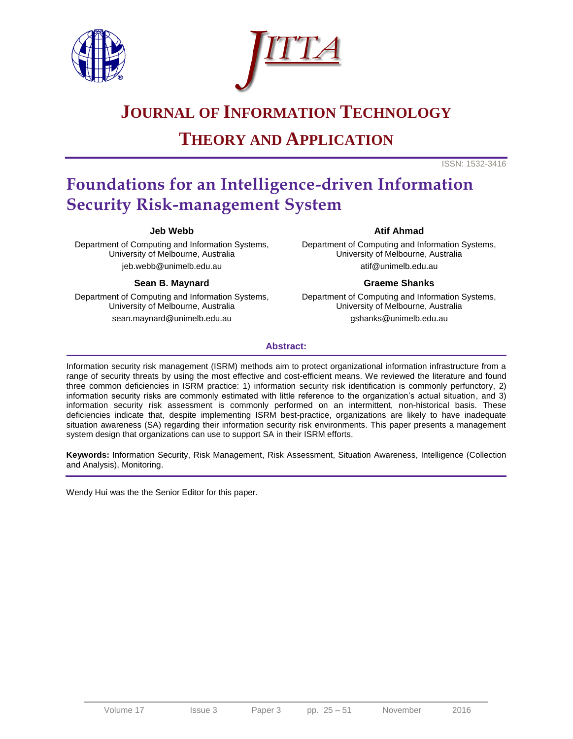



# **JOURNAL OF INFORMATION TECHNOLOGY**

# **THEORY AND APPLICATION**

ISSN: 1532-3416

# **Foundations for an Intelligence-driven Information Security Risk-management System**

#### **Jeb Webb**

Department of Computing and Information Systems, University of Melbourne, Australia jeb.webb@unimelb.edu.au

#### **Sean B. Maynard**

Department of Computing and Information Systems, University of Melbourne, Australia sean.maynard@unimelb.edu.au

#### **Atif Ahmad**

Department of Computing and Information Systems, University of Melbourne, Australia atif@unimelb.edu.au

#### **Graeme Shanks**

Department of Computing and Information Systems, University of Melbourne, Australia gshanks@unimelb.edu.au

#### **Abstract:**

Information security risk management (ISRM) methods aim to protect organizational information infrastructure from a range of security threats by using the most effective and cost-efficient means. We reviewed the literature and found three common deficiencies in ISRM practice: 1) information security risk identification is commonly perfunctory, 2) information security risks are commonly estimated with little reference to the organization's actual situation, and 3) information security risk assessment is commonly performed on an intermittent, non-historical basis. These deficiencies indicate that, despite implementing ISRM best-practice, organizations are likely to have inadequate situation awareness (SA) regarding their information security risk environments. This paper presents a management system design that organizations can use to support SA in their ISRM efforts.

**Keywords:** Information Security, Risk Management, Risk Assessment, Situation Awareness, Intelligence (Collection and Analysis), Monitoring.

Wendy Hui was the the Senior Editor for this paper.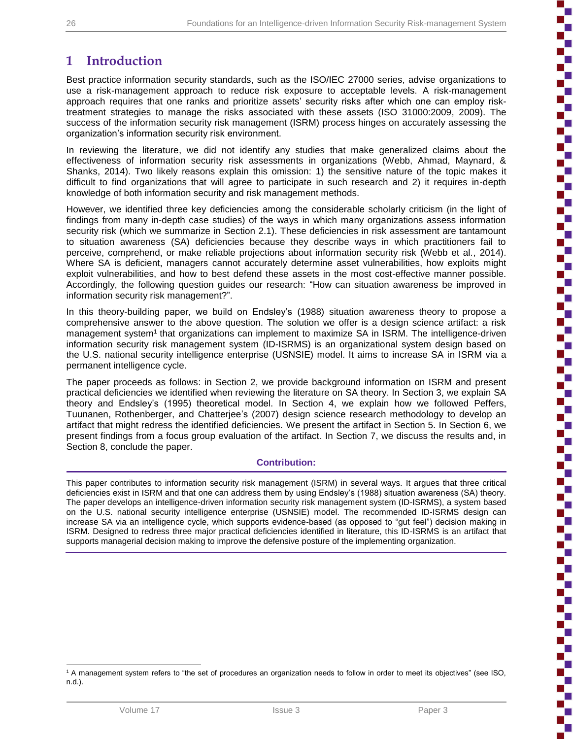ţ

'n

## **1 Introduction**

Best practice information security standards, such as the ISO/IEC 27000 series, advise organizations to use a risk-management approach to reduce risk exposure to acceptable levels. A risk-management approach requires that one ranks and prioritize assets' security risks after which one can employ risktreatment strategies to manage the risks associated with these assets (ISO 31000:2009, 2009). The success of the information security risk management (ISRM) process hinges on accurately assessing the organization's information security risk environment.

In reviewing the literature, we did not identify any studies that make generalized claims about the effectiveness of information security risk assessments in organizations (Webb, Ahmad, Maynard, & Shanks, 2014). Two likely reasons explain this omission: 1) the sensitive nature of the topic makes it difficult to find organizations that will agree to participate in such research and 2) it requires in-depth knowledge of both information security and risk management methods.

However, we identified three key deficiencies among the considerable scholarly criticism (in the light of findings from many in-depth case studies) of the ways in which many organizations assess information security risk (which we summarize in Section 2.1). These deficiencies in risk assessment are tantamount to situation awareness (SA) deficiencies because they describe ways in which practitioners fail to perceive, comprehend, or make reliable projections about information security risk (Webb et al., 2014). Where SA is deficient, managers cannot accurately determine asset vulnerabilities, how exploits might exploit vulnerabilities, and how to best defend these assets in the most cost-effective manner possible. Accordingly, the following question guides our research: "How can situation awareness be improved in information security risk management?".

In this theory-building paper, we build on Endsley's (1988) situation awareness theory to propose a comprehensive answer to the above question. The solution we offer is a design science artifact: a risk management system<sup>1</sup> that organizations can implement to maximize SA in ISRM. The intelligence-driven information security risk management system (ID-ISRMS) is an organizational system design based on the U.S. national security intelligence enterprise (USNSIE) model. It aims to increase SA in ISRM via a permanent intelligence cycle.

The paper proceeds as follows: in Section 2, we provide background information on ISRM and present practical deficiencies we identified when reviewing the literature on SA theory. In Section 3, we explain SA theory and Endsley's (1995) theoretical model. In Section 4, we explain how we followed Peffers, Tuunanen, Rothenberger, and Chatterjee's (2007) design science research methodology to develop an artifact that might redress the identified deficiencies. We present the artifact in Section 5. In Section 6, we present findings from a focus group evaluation of the artifact. In Section 7, we discuss the results and, in Section 8, conclude the paper.

#### **Contribution:**

This paper contributes to information security risk management (ISRM) in several ways. It argues that three critical deficiencies exist in ISRM and that one can address them by using Endsley's (1988) situation awareness (SA) theory. The paper develops an intelligence-driven information security risk management system (ID-ISRMS), a system based on the U.S. national security intelligence enterprise (USNSIE) model. The recommended ID-ISRMS design can increase SA via an intelligence cycle, which supports evidence-based (as opposed to "gut feel") decision making in ISRM. Designed to redress three major practical deficiencies identified in literature, this ID-ISRMS is an artifact that supports managerial decision making to improve the defensive posture of the implementing organization.

l <sup>1</sup> A management system refers to "the set of procedures an organization needs to follow in order to meet its objectives" (see ISO, n.d.).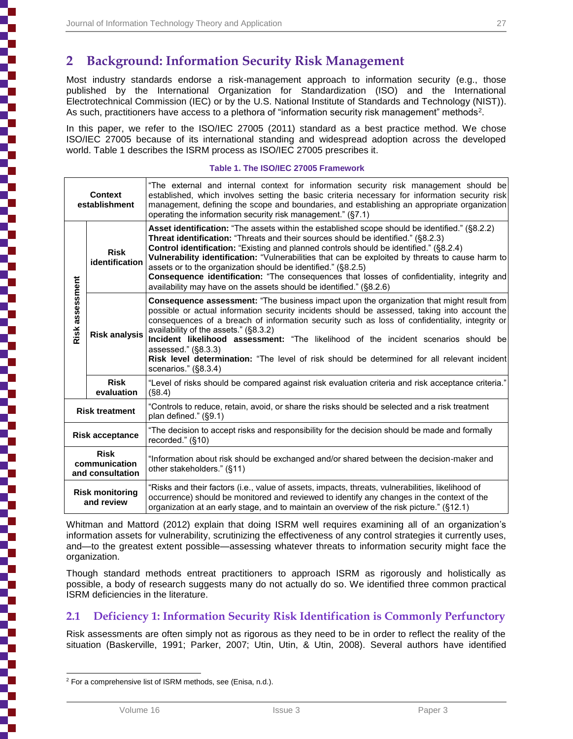## **2 Background: Information Security Risk Management**

Most industry standards endorse a risk-management approach to information security (e.g., those published by the International Organization for Standardization (ISO) and the International Electrotechnical Commission (IEC) or by the U.S. National Institute of Standards and Technology (NIST)). As such, practitioners have access to a plethora of "information security risk management" methods<sup>2</sup>.

In this paper, we refer to the ISO/IEC 27005 (2011) standard as a best practice method. We chose ISO/IEC 27005 because of its international standing and widespread adoption across the developed world. Table 1 describes the ISRM process as ISO/IEC 27005 prescribes it.

#### **Table 1. The ISO/IEC 27005 Framework**

| <b>Context</b><br>establishment                  |                               | "The external and internal context for information security risk management should be<br>established, which involves setting the basic criteria necessary for information security risk<br>management, defining the scope and boundaries, and establishing an appropriate organization<br>operating the information security risk management." (§7.1)                                                                                                                                                                                                                                                                    |  |  |  |
|--------------------------------------------------|-------------------------------|--------------------------------------------------------------------------------------------------------------------------------------------------------------------------------------------------------------------------------------------------------------------------------------------------------------------------------------------------------------------------------------------------------------------------------------------------------------------------------------------------------------------------------------------------------------------------------------------------------------------------|--|--|--|
| Risk assessment                                  | <b>Risk</b><br>identification | Asset identification: "The assets within the established scope should be identified." (§8.2.2)<br>Threat identification: "Threats and their sources should be identified." (§8.2.3)<br>Control identification: "Existing and planned controls should be identified." (§8.2.4)<br>Vulnerability identification: "Vulnerabilities that can be exploited by threats to cause harm to<br>assets or to the organization should be identified." (§8.2.5)<br>Consequence identification: "The consequences that losses of confidentiality, integrity and<br>availability may have on the assets should be identified." (§8.2.6) |  |  |  |
|                                                  | <b>Risk analysis</b>          | <b>Consequence assessment:</b> "The business impact upon the organization that might result from<br>possible or actual information security incidents should be assessed, taking into account the<br>consequences of a breach of information security such as loss of confidentiality, integrity or<br>availability of the assets." (§8.3.2)<br>Incident likelihood assessment: "The likelihood of the incident scenarios should be<br>assessed." $(\$8.3.3)$<br>Risk level determination: "The level of risk should be determined for all relevant incident<br>scenarios." (§8.3.4)                                     |  |  |  |
|                                                  | <b>Risk</b><br>evaluation     | "Level of risks should be compared against risk evaluation criteria and risk acceptance criteria."<br>(S8.4)                                                                                                                                                                                                                                                                                                                                                                                                                                                                                                             |  |  |  |
| <b>Risk treatment</b>                            |                               | "Controls to reduce, retain, avoid, or share the risks should be selected and a risk treatment<br>plan defined." (§9.1)                                                                                                                                                                                                                                                                                                                                                                                                                                                                                                  |  |  |  |
| <b>Risk acceptance</b>                           |                               | "The decision to accept risks and responsibility for the decision should be made and formally<br>recorded." (§10)                                                                                                                                                                                                                                                                                                                                                                                                                                                                                                        |  |  |  |
| <b>Risk</b><br>communication<br>and consultation |                               | "Information about risk should be exchanged and/or shared between the decision-maker and<br>other stakeholders." (§11)                                                                                                                                                                                                                                                                                                                                                                                                                                                                                                   |  |  |  |
| <b>Risk monitoring</b><br>and review             |                               | "Risks and their factors (i.e., value of assets, impacts, threats, vulnerabilities, likelihood of<br>occurrence) should be monitored and reviewed to identify any changes in the context of the<br>organization at an early stage, and to maintain an overview of the risk picture." (§12.1)                                                                                                                                                                                                                                                                                                                             |  |  |  |

Whitman and Mattord (2012) explain that doing ISRM well requires examining all of an organization's information assets for vulnerability, scrutinizing the effectiveness of any control strategies it currently uses, and—to the greatest extent possible—assessing whatever threats to information security might face the organization.

Though standard methods entreat practitioners to approach ISRM as rigorously and holistically as possible, a body of research suggests many do not actually do so. We identified three common practical ISRM deficiencies in the literature.

## **2.1 Deficiency 1: Information Security Risk Identification is Commonly Perfunctory**

Risk assessments are often simply not as rigorous as they need to be in order to reflect the reality of the situation (Baskerville, 1991; Parker, 2007; Utin, Utin, & Utin, 2008). Several authors have identified

l <sup>2</sup> For a comprehensive list of ISRM methods, see (Enisa, n.d.).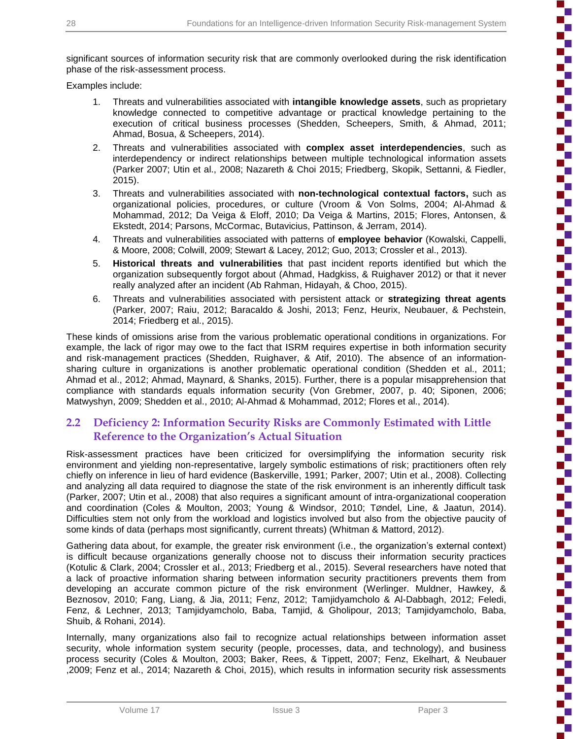significant sources of information security risk that are commonly overlooked during the risk identification phase of the risk-assessment process.

Examples include:

- 1. Threats and vulnerabilities associated with **intangible knowledge assets**, such as proprietary knowledge connected to competitive advantage or practical knowledge pertaining to the execution of critical business processes (Shedden, Scheepers, Smith, & Ahmad, 2011; Ahmad, Bosua, & Scheepers, 2014).
- 2. Threats and vulnerabilities associated with **complex asset interdependencies**, such as interdependency or indirect relationships between multiple technological information assets (Parker 2007; Utin et al., 2008; Nazareth & Choi 2015; Friedberg, Skopik, Settanni, & Fiedler, 2015).
- 3. Threats and vulnerabilities associated with **non-technological contextual factors,** such as organizational policies, procedures, or culture (Vroom & Von Solms, 2004; Al-Ahmad & Mohammad, 2012; Da Veiga & Eloff, 2010; Da Veiga & Martins, 2015; Flores, Antonsen, & Ekstedt, 2014; Parsons, McCormac, Butavicius, Pattinson, & Jerram, 2014).
- 4. Threats and vulnerabilities associated with patterns of **employee behavior** (Kowalski, Cappelli, & Moore, 2008; Colwill, 2009; Stewart & Lacey, 2012; Guo, 2013; Crossler et al., 2013).
- 5. **Historical threats and vulnerabilities** that past incident reports identified but which the organization subsequently forgot about (Ahmad, Hadgkiss, & Ruighaver 2012) or that it never really analyzed after an incident (Ab Rahman, Hidayah, & Choo, 2015).
- 6. Threats and vulnerabilities associated with persistent attack or **strategizing threat agents** (Parker, 2007; Raiu, 2012; Baracaldo & Joshi, 2013; Fenz, Heurix, Neubauer, & Pechstein, 2014; Friedberg et al., 2015).

These kinds of omissions arise from the various problematic operational conditions in organizations. For example, the lack of rigor may owe to the fact that ISRM requires expertise in both information security and risk-management practices (Shedden, Ruighaver, & Atif, 2010). The absence of an informationsharing culture in organizations is another problematic operational condition (Shedden et al., 2011; Ahmad et al., 2012; Ahmad, Maynard, & Shanks, 2015). Further, there is a popular misapprehension that compliance with standards equals information security (Von Grebmer, 2007, p. 40; Siponen, 2006; Matwyshyn, 2009; Shedden et al., 2010; Al-Ahmad & Mohammad, 2012; Flores et al., 2014).

## **2.2 Deficiency 2: Information Security Risks are Commonly Estimated with Little Reference to the Organization's Actual Situation**

Risk-assessment practices have been criticized for oversimplifying the information security risk environment and yielding non-representative, largely symbolic estimations of risk; practitioners often rely chiefly on inference in lieu of hard evidence (Baskerville, 1991; Parker, 2007; Utin et al., 2008). Collecting and analyzing all data required to diagnose the state of the risk environment is an inherently difficult task (Parker, 2007; Utin et al., 2008) that also requires a significant amount of intra-organizational cooperation and coordination (Coles & Moulton, 2003; Young & Windsor, 2010; TØndel, Line, & Jaatun, 2014). Difficulties stem not only from the workload and logistics involved but also from the objective paucity of some kinds of data (perhaps most significantly, current threats) (Whitman & Mattord, 2012).

Gathering data about, for example, the greater risk environment (i.e., the organization's external context) is difficult because organizations generally choose not to discuss their information security practices (Kotulic & Clark, 2004; Crossler et al., 2013; Friedberg et al., 2015). Several researchers have noted that a lack of proactive information sharing between information security practitioners prevents them from developing an accurate common picture of the risk environment (Werlinger. Muldner, Hawkey, & Beznosov, 2010; Fang, Liang, & Jia, 2011; Fenz, 2012; Tamjidyamcholo & Al-Dabbagh, 2012; Feledi, Fenz, & Lechner, 2013; Tamjidyamcholo, Baba, Tamjid, & Gholipour, 2013; Tamjidyamcholo, Baba, Shuib, & Rohani, 2014).

Internally, many organizations also fail to recognize actual relationships between information asset security, whole information system security (people, processes, data, and technology), and business process security (Coles & Moulton, 2003; Baker, Rees, & Tippett, 2007; Fenz, Ekelhart, & Neubauer ,2009; Fenz et al., 2014; Nazareth & Choi, 2015), which results in information security risk assessments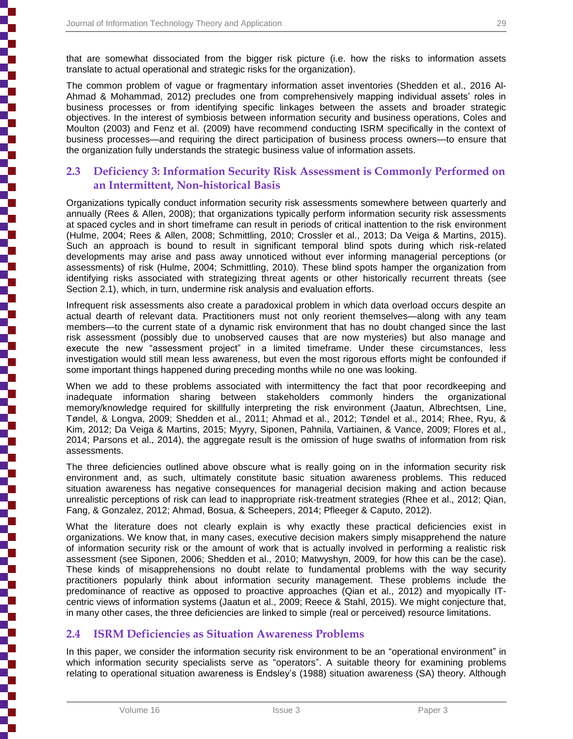that are somewhat dissociated from the bigger risk picture (i.e. how the risks to information assets translate to actual operational and strategic risks for the organization).

The common problem of vague or fragmentary information asset inventories (Shedden et al., 2016 Al-Ahmad & Mohammad, 2012) precludes one from comprehensively mapping individual assets' roles in business processes or from identifying specific linkages between the assets and broader strategic objectives. In the interest of symbiosis between information security and business operations, Coles and Moulton (2003) and Fenz et al. (2009) have recommend conducting ISRM specifically in the context of business processes—and requiring the direct participation of business process owners—to ensure that the organization fully understands the strategic business value of information assets.

### **2.3 Deficiency 3: Information Security Risk Assessment is Commonly Performed on an Intermittent, Non-historical Basis**

Organizations typically conduct information security risk assessments somewhere between quarterly and annually (Rees & Allen, 2008); that organizations typically perform information security risk assessments at spaced cycles and in short timeframe can result in periods of critical inattention to the risk environment (Hulme, 2004; Rees & Allen, 2008; Schmittling, 2010; Crossler et al., 2013; Da Veiga & Martins, 2015). Such an approach is bound to result in significant temporal blind spots during which risk-related developments may arise and pass away unnoticed without ever informing managerial perceptions (or assessments) of risk (Hulme, 2004; Schmittling, 2010). These blind spots hamper the organization from identifying risks associated with strategizing threat agents or other historically recurrent threats (see Section 2.1), which, in turn, undermine risk analysis and evaluation efforts.

Infrequent risk assessments also create a paradoxical problem in which data overload occurs despite an actual dearth of relevant data. Practitioners must not only reorient themselves—along with any team members—to the current state of a dynamic risk environment that has no doubt changed since the last risk assessment (possibly due to unobserved causes that are now mysteries) but also manage and execute the new "assessment project" in a limited timeframe. Under these circumstances, less investigation would still mean less awareness, but even the most rigorous efforts might be confounded if some important things happened during preceding months while no one was looking.

When we add to these problems associated with intermittency the fact that poor recordkeeping and inadequate information sharing between stakeholders commonly hinders the organizational memory/knowledge required for skillfully interpreting the risk environment (Jaatun, Albrechtsen, Line, Tøndel, & Longva, 2009; Shedden et al., 2011; Ahmad et al., 2012; TØndel et al., 2014; Rhee, Ryu, & Kim, 2012; Da Veiga & Martins, 2015; Myyry, Siponen, Pahnila, Vartiainen, & Vance, 2009; Flores et al., 2014; Parsons et al., 2014), the aggregate result is the omission of huge swaths of information from risk assessments.

The three deficiencies outlined above obscure what is really going on in the information security risk environment and, as such, ultimately constitute basic situation awareness problems. This reduced situation awareness has negative consequences for managerial decision making and action because unrealistic perceptions of risk can lead to inappropriate risk-treatment strategies (Rhee et al., 2012; Qian, Fang, & Gonzalez, 2012; Ahmad, Bosua, & Scheepers, 2014; Pfleeger & Caputo, 2012).

What the literature does not clearly explain is why exactly these practical deficiencies exist in organizations. We know that, in many cases, executive decision makers simply misapprehend the nature of information security risk or the amount of work that is actually involved in performing a realistic risk assessment (see Siponen, 2006; Shedden et al., 2010; Matwyshyn, 2009, for how this can be the case). These kinds of misapprehensions no doubt relate to fundamental problems with the way security practitioners popularly think about information security management. These problems include the predominance of reactive as opposed to proactive approaches (Qian et al., 2012) and myopically ITcentric views of information systems (Jaatun et al., 2009; Reece & Stahl, 2015). We might conjecture that, in many other cases, the three deficiencies are linked to simple (real or perceived) resource limitations.

## **2.4 ISRM Deficiencies as Situation Awareness Problems**

In this paper, we consider the information security risk environment to be an "operational environment" in which information security specialists serve as "operators". A suitable theory for examining problems relating to operational situation awareness is Endsley's (1988) situation awareness (SA) theory. Although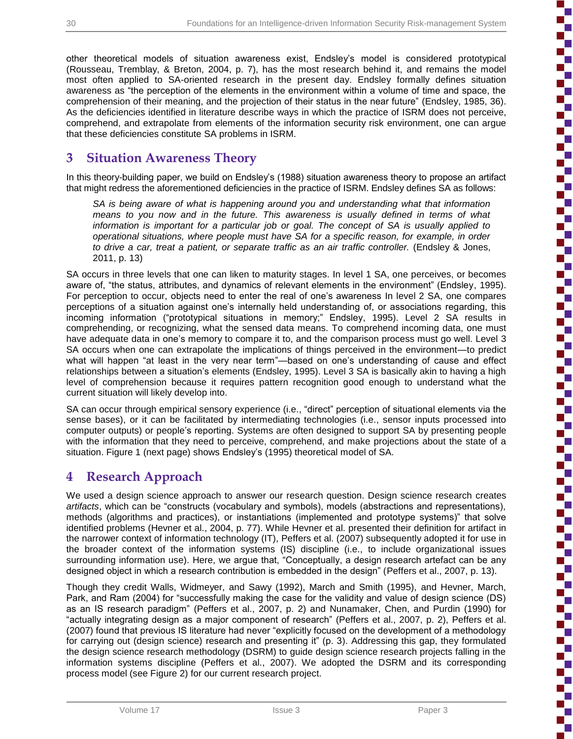Ŧ

other theoretical models of situation awareness exist, Endsley's model is considered prototypical (Rousseau, Tremblay, & Breton, 2004, p. 7), has the most research behind it, and remains the model most often applied to SA-oriented research in the present day. Endsley formally defines situation awareness as "the perception of the elements in the environment within a volume of time and space, the comprehension of their meaning, and the projection of their status in the near future" (Endsley, 1985, 36). As the deficiencies identified in literature describe ways in which the practice of ISRM does not perceive, comprehend, and extrapolate from elements of the information security risk environment, one can argue that these deficiencies constitute SA problems in ISRM.

## **3 Situation Awareness Theory**

In this theory-building paper, we build on Endsley's (1988) situation awareness theory to propose an artifact that might redress the aforementioned deficiencies in the practice of ISRM. Endsley defines SA as follows:

*SA is being aware of what is happening around you and understanding what that information means to you now and in the future. This awareness is usually defined in terms of what information is important for a particular job or goal. The concept of SA is usually applied to operational situations, where people must have SA for a specific reason, for example, in order to drive a car, treat a patient, or separate traffic as an air traffic controller.* (Endsley & Jones, 2011, p. 13)

SA occurs in three levels that one can liken to maturity stages. In level 1 SA, one perceives, or becomes aware of, "the status, attributes, and dynamics of relevant elements in the environment" (Endsley, 1995). For perception to occur, objects need to enter the real of one's awareness In level 2 SA, one compares perceptions of a situation against one's internally held understanding of, or associations regarding, this incoming information ("prototypical situations in memory;" Endsley, 1995). Level 2 SA results in comprehending, or recognizing, what the sensed data means. To comprehend incoming data, one must have adequate data in one's memory to compare it to, and the comparison process must go well. Level 3 SA occurs when one can extrapolate the implications of things perceived in the environment—to predict what will happen "at least in the very near term"—based on one's understanding of cause and effect relationships between a situation's elements (Endsley, 1995). Level 3 SA is basically akin to having a high level of comprehension because it requires pattern recognition good enough to understand what the current situation will likely develop into.

SA can occur through empirical sensory experience (i.e., "direct" perception of situational elements via the sense bases), or it can be facilitated by intermediating technologies (i.e., sensor inputs processed into computer outputs) or people's reporting. Systems are often designed to support SA by presenting people with the information that they need to perceive, comprehend, and make projections about the state of a situation. Figure 1 (next page) shows Endsley's (1995) theoretical model of SA.

## **4 Research Approach**

We used a design science approach to answer our research question. Design science research creates *artifacts*, which can be "constructs (vocabulary and symbols), models (abstractions and representations), methods (algorithms and practices), or instantiations (implemented and prototype systems)" that solve identified problems (Hevner et al., 2004, p. 77). While Hevner et al. presented their definition for artifact in the narrower context of information technology (IT), Peffers et al. (2007) subsequently adopted it for use in the broader context of the information systems (IS) discipline (i.e., to include organizational issues surrounding information use). Here, we argue that, "Conceptually, a design research artefact can be any designed object in which a research contribution is embedded in the design" (Peffers et al., 2007, p. 13).

Though they credit Walls, Widmeyer, and Sawy (1992), March and Smith (1995), and Hevner, March, Park, and Ram (2004) for "successfully making the case for the validity and value of design science (DS) as an IS research paradigm" (Peffers et al., 2007, p. 2) and Nunamaker, Chen, and Purdin (1990) for "actually integrating design as a major component of research" (Peffers et al., 2007, p. 2), Peffers et al. (2007) found that previous IS literature had never "explicitly focused on the development of a methodology for carrying out (design science) research and presenting it" (p. 3). Addressing this gap, they formulated the design science research methodology (DSRM) to guide design science research projects falling in the information systems discipline (Peffers et al., 2007). We adopted the DSRM and its corresponding process model (see Figure 2) for our current research project.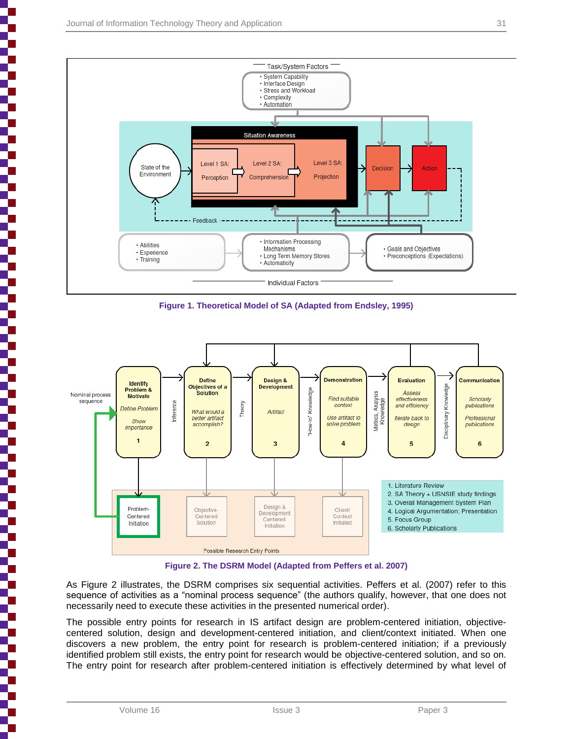



**Figure 1. Theoretical Model of SA (Adapted from Endsley, 1995)**



**Figure 2. The DSRM Model (Adapted from Peffers et al. 2007)**

As Figure 2 illustrates, the DSRM comprises six sequential activities. Peffers et al. (2007) refer to this sequence of activities as a "nominal process sequence" (the authors qualify, however, that one does not necessarily need to execute these activities in the presented numerical order).

The possible entry points for research in IS artifact design are problem-centered initiation, objectivecentered solution, design and development-centered initiation, and client/context initiated. When one discovers a new problem, the entry point for research is problem-centered initiation; if a previously identified problem still exists, the entry point for research would be objective-centered solution, and so on. The entry point for research after problem-centered initiation is effectively determined by what level of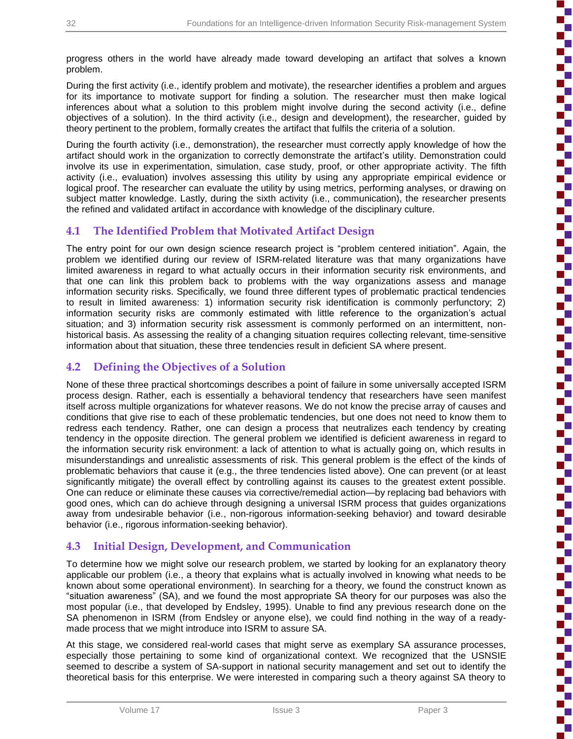Ŧ

progress others in the world have already made toward developing an artifact that solves a known problem.

During the first activity (i.e., identify problem and motivate), the researcher identifies a problem and argues for its importance to motivate support for finding a solution. The researcher must then make logical inferences about what a solution to this problem might involve during the second activity (i.e., define objectives of a solution). In the third activity (i.e., design and development), the researcher, guided by theory pertinent to the problem, formally creates the artifact that fulfils the criteria of a solution.

During the fourth activity (i.e., demonstration), the researcher must correctly apply knowledge of how the artifact should work in the organization to correctly demonstrate the artifact's utility. Demonstration could involve its use in experimentation, simulation, case study, proof, or other appropriate activity. The fifth activity (i.e., evaluation) involves assessing this utility by using any appropriate empirical evidence or logical proof. The researcher can evaluate the utility by using metrics, performing analyses, or drawing on subject matter knowledge. Lastly, during the sixth activity (i.e., communication), the researcher presents the refined and validated artifact in accordance with knowledge of the disciplinary culture.

## **4.1 The Identified Problem that Motivated Artifact Design**

The entry point for our own design science research project is "problem centered initiation". Again, the problem we identified during our review of ISRM-related literature was that many organizations have limited awareness in regard to what actually occurs in their information security risk environments, and that one can link this problem back to problems with the way organizations assess and manage information security risks. Specifically, we found three different types of problematic practical tendencies to result in limited awareness: 1) information security risk identification is commonly perfunctory; 2) information security risks are commonly estimated with little reference to the organization's actual situation; and 3) information security risk assessment is commonly performed on an intermittent, nonhistorical basis. As assessing the reality of a changing situation requires collecting relevant, time-sensitive information about that situation, these three tendencies result in deficient SA where present.

## **4.2 Defining the Objectives of a Solution**

None of these three practical shortcomings describes a point of failure in some universally accepted ISRM process design. Rather, each is essentially a behavioral tendency that researchers have seen manifest itself across multiple organizations for whatever reasons. We do not know the precise array of causes and conditions that give rise to each of these problematic tendencies, but one does not need to know them to redress each tendency. Rather, one can design a process that neutralizes each tendency by creating tendency in the opposite direction. The general problem we identified is deficient awareness in regard to the information security risk environment: a lack of attention to what is actually going on, which results in misunderstandings and unrealistic assessments of risk. This general problem is the effect of the kinds of problematic behaviors that cause it (e.g., the three tendencies listed above). One can prevent (or at least significantly mitigate) the overall effect by controlling against its causes to the greatest extent possible. One can reduce or eliminate these causes via corrective/remedial action—by replacing bad behaviors with good ones, which can do achieve through designing a universal ISRM process that guides organizations away from undesirable behavior (i.e., non-rigorous information-seeking behavior) and toward desirable behavior (i.e., rigorous information-seeking behavior).

## **4.3 Initial Design, Development, and Communication**

To determine how we might solve our research problem, we started by looking for an explanatory theory applicable our problem (i.e., a theory that explains what is actually involved in knowing what needs to be known about some operational environment). In searching for a theory, we found the construct known as "situation awareness" (SA), and we found the most appropriate SA theory for our purposes was also the most popular (i.e., that developed by Endsley, 1995). Unable to find any previous research done on the SA phenomenon in ISRM (from Endsley or anyone else), we could find nothing in the way of a readymade process that we might introduce into ISRM to assure SA.

At this stage, we considered real-world cases that might serve as exemplary SA assurance processes, especially those pertaining to some kind of organizational context. We recognized that the USNSIE seemed to describe a system of SA-support in national security management and set out to identify the theoretical basis for this enterprise. We were interested in comparing such a theory against SA theory to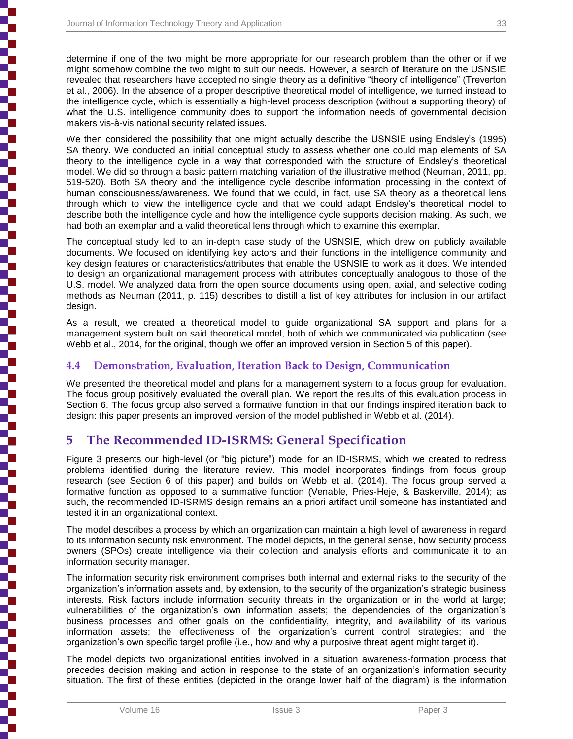determine if one of the two might be more appropriate for our research problem than the other or if we might somehow combine the two might to suit our needs. However, a search of literature on the USNSIE revealed that researchers have accepted no single theory as a definitive "theory of intelligence" (Treverton et al., 2006). In the absence of a proper descriptive theoretical model of intelligence, we turned instead to the intelligence cycle, which is essentially a high-level process description (without a supporting theory) of what the U.S. intelligence community does to support the information needs of governmental decision makers vis-à-vis national security related issues.

We then considered the possibility that one might actually describe the USNSIE using Endsley's (1995) SA theory. We conducted an initial conceptual study to assess whether one could map elements of SA theory to the intelligence cycle in a way that corresponded with the structure of Endsley's theoretical model. We did so through a basic pattern matching variation of the illustrative method (Neuman, 2011, pp. 519-520). Both SA theory and the intelligence cycle describe information processing in the context of human consciousness/awareness. We found that we could, in fact, use SA theory as a theoretical lens through which to view the intelligence cycle and that we could adapt Endsley's theoretical model to describe both the intelligence cycle and how the intelligence cycle supports decision making. As such, we had both an exemplar and a valid theoretical lens through which to examine this exemplar.

The conceptual study led to an in-depth case study of the USNSIE, which drew on publicly available documents. We focused on identifying key actors and their functions in the intelligence community and key design features or characteristics/attributes that enable the USNSIE to work as it does. We intended to design an organizational management process with attributes conceptually analogous to those of the U.S. model. We analyzed data from the open source documents using open, axial, and selective coding methods as Neuman (2011, p. 115) describes to distill a list of key attributes for inclusion in our artifact design.

As a result, we created a theoretical model to guide organizational SA support and plans for a management system built on said theoretical model, both of which we communicated via publication (see Webb et al., 2014, for the original, though we offer an improved version in Section 5 of this paper).

### **4.4 Demonstration, Evaluation, Iteration Back to Design, Communication**

We presented the theoretical model and plans for a management system to a focus group for evaluation. The focus group positively evaluated the overall plan. We report the results of this evaluation process in Section 6. The focus group also served a formative function in that our findings inspired iteration back to design: this paper presents an improved version of the model published in Webb et al. (2014).

## **5 The Recommended ID-ISRMS: General Specification**

Figure 3 presents our high-level (or "big picture") model for an ID-ISRMS, which we created to redress problems identified during the literature review. This model incorporates findings from focus group research (see Section 6 of this paper) and builds on Webb et al. (2014). The focus group served a formative function as opposed to a summative function (Venable, Pries-Heje, & Baskerville, 2014); as such, the recommended ID-ISRMS design remains an a priori artifact until someone has instantiated and tested it in an organizational context.

The model describes a process by which an organization can maintain a high level of awareness in regard to its information security risk environment. The model depicts, in the general sense, how security process owners (SPOs) create intelligence via their collection and analysis efforts and communicate it to an information security manager.

The information security risk environment comprises both internal and external risks to the security of the organization's information assets and, by extension, to the security of the organization's strategic business interests. Risk factors include information security threats in the organization or in the world at large; vulnerabilities of the organization's own information assets; the dependencies of the organization's business processes and other goals on the confidentiality, integrity, and availability of its various information assets; the effectiveness of the organization's current control strategies; and the organization's own specific target profile (i.e., how and why a purposive threat agent might target it).

The model depicts two organizational entities involved in a situation awareness-formation process that precedes decision making and action in response to the state of an organization's information security situation. The first of these entities (depicted in the orange lower half of the diagram) is the information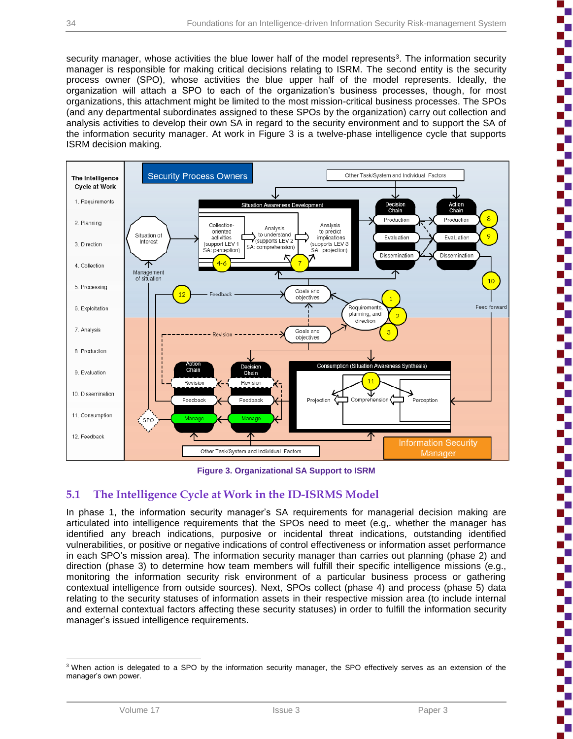Þ

į

i

ì

ì

ì

'n

security manager, whose activities the blue lower half of the model represents<sup>3</sup>. The information security manager is responsible for making critical decisions relating to ISRM. The second entity is the security process owner (SPO), whose activities the blue upper half of the model represents. Ideally, the organization will attach a SPO to each of the organization's business processes, though, for most organizations, this attachment might be limited to the most mission-critical business processes. The SPOs (and any departmental subordinates assigned to these SPOs by the organization) carry out collection and analysis activities to develop their own SA in regard to the security environment and to support the SA of the information security manager. At work in Figure 3 is a twelve-phase intelligence cycle that supports ISRM decision making.



**Figure 3. Organizational SA Support to ISRM**

## **5.1 The Intelligence Cycle at Work in the ID-ISRMS Model**

In phase 1, the information security manager's SA requirements for managerial decision making are articulated into intelligence requirements that the SPOs need to meet (e.g,. whether the manager has identified any breach indications, purposive or incidental threat indications, outstanding identified vulnerabilities, or positive or negative indications of control effectiveness or information asset performance in each SPO's mission area). The information security manager than carries out planning (phase 2) and direction (phase 3) to determine how team members will fulfill their specific intelligence missions (e.g., monitoring the information security risk environment of a particular business process or gathering contextual intelligence from outside sources). Next, SPOs collect (phase 4) and process (phase 5) data relating to the security statuses of information assets in their respective mission area (to include internal and external contextual factors affecting these security statuses) in order to fulfill the information security manager's issued intelligence requirements.

l <sup>3</sup> When action is delegated to a SPO by the information security manager, the SPO effectively serves as an extension of the manager's own power.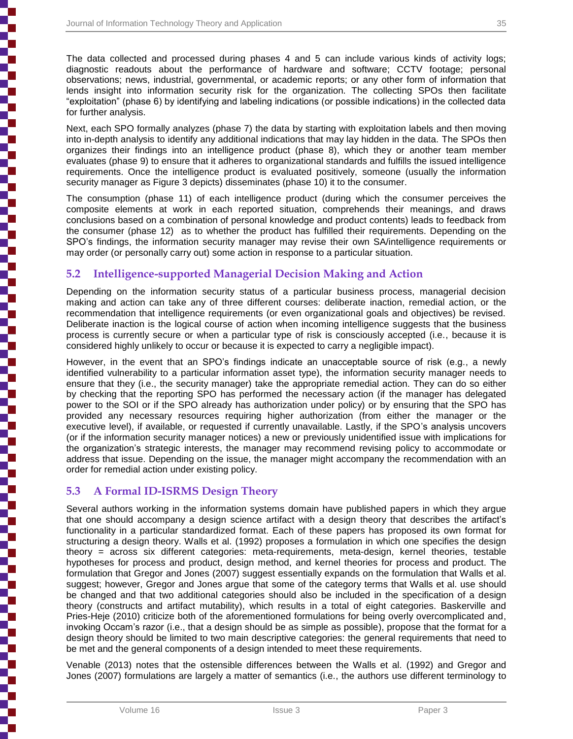┇

j

₿

The data collected and processed during phases 4 and 5 can include various kinds of activity logs; diagnostic readouts about the performance of hardware and software; CCTV footage; personal observations; news, industrial, governmental, or academic reports; or any other form of information that lends insight into information security risk for the organization. The collecting SPOs then facilitate "exploitation" (phase 6) by identifying and labeling indications (or possible indications) in the collected data for further analysis.

Next, each SPO formally analyzes (phase 7) the data by starting with exploitation labels and then moving into in-depth analysis to identify any additional indications that may lay hidden in the data. The SPOs then organizes their findings into an intelligence product (phase 8), which they or another team member evaluates (phase 9) to ensure that it adheres to organizational standards and fulfills the issued intelligence requirements. Once the intelligence product is evaluated positively, someone (usually the information security manager as Figure 3 depicts) disseminates (phase 10) it to the consumer.

The consumption (phase 11) of each intelligence product (during which the consumer perceives the composite elements at work in each reported situation, comprehends their meanings, and draws conclusions based on a combination of personal knowledge and product contents) leads to feedback from the consumer (phase 12) as to whether the product has fulfilled their requirements. Depending on the SPO's findings, the information security manager may revise their own SA/intelligence requirements or may order (or personally carry out) some action in response to a particular situation.

## **5.2 Intelligence-supported Managerial Decision Making and Action**

Depending on the information security status of a particular business process, managerial decision making and action can take any of three different courses: deliberate inaction, remedial action, or the recommendation that intelligence requirements (or even organizational goals and objectives) be revised. Deliberate inaction is the logical course of action when incoming intelligence suggests that the business process is currently secure or when a particular type of risk is consciously accepted (i.e., because it is considered highly unlikely to occur or because it is expected to carry a negligible impact).

However, in the event that an SPO's findings indicate an unacceptable source of risk (e.g., a newly identified vulnerability to a particular information asset type), the information security manager needs to ensure that they (i.e., the security manager) take the appropriate remedial action. They can do so either by checking that the reporting SPO has performed the necessary action (if the manager has delegated power to the SOI or if the SPO already has authorization under policy) or by ensuring that the SPO has provided any necessary resources requiring higher authorization (from either the manager or the executive level), if available, or requested if currently unavailable. Lastly, if the SPO's analysis uncovers (or if the information security manager notices) a new or previously unidentified issue with implications for the organization's strategic interests, the manager may recommend revising policy to accommodate or address that issue. Depending on the issue, the manager might accompany the recommendation with an order for remedial action under existing policy.

## **5.3 A Formal ID-ISRMS Design Theory**

Several authors working in the information systems domain have published papers in which they argue that one should accompany a design science artifact with a design theory that describes the artifact's functionality in a particular standardized format. Each of these papers has proposed its own format for structuring a design theory. Walls et al. (1992) proposes a formulation in which one specifies the design theory = across six different categories: meta-requirements, meta-design, kernel theories, testable hypotheses for process and product, design method, and kernel theories for process and product. The formulation that Gregor and Jones (2007) suggest essentially expands on the formulation that Walls et al. suggest; however, Gregor and Jones argue that some of the category terms that Walls et al. use should be changed and that two additional categories should also be included in the specification of a design theory (constructs and artifact mutability), which results in a total of eight categories. Baskerville and Pries-Heje (2010) criticize both of the aforementioned formulations for being overly overcomplicated and, invoking Occam's razor (i.e., that a design should be as simple as possible), propose that the format for a design theory should be limited to two main descriptive categories: the general requirements that need to be met and the general components of a design intended to meet these requirements.

Venable (2013) notes that the ostensible differences between the Walls et al. (1992) and Gregor and Jones (2007) formulations are largely a matter of semantics (i.e., the authors use different terminology to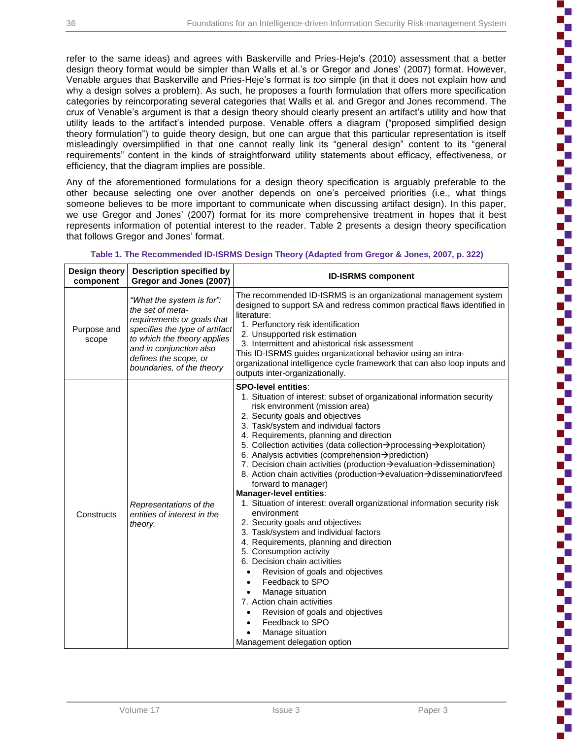Ł

į

i

i

ì

i

ì

ì

Ì

refer to the same ideas) and agrees with Baskerville and Pries-Heje's (2010) assessment that a better design theory format would be simpler than Walls et al.'s or Gregor and Jones' (2007) format. However, Venable argues that Baskerville and Pries-Heje's format is *too* simple (in that it does not explain how and why a design solves a problem). As such, he proposes a fourth formulation that offers more specification categories by reincorporating several categories that Walls et al. and Gregor and Jones recommend. The crux of Venable's argument is that a design theory should clearly present an artifact's utility and how that utility leads to the artifact's intended purpose. Venable offers a diagram ("proposed simplified design theory formulation") to guide theory design, but one can argue that this particular representation is itself misleadingly oversimplified in that one cannot really link its "general design" content to its "general requirements" content in the kinds of straightforward utility statements about efficacy, effectiveness, or efficiency, that the diagram implies are possible.

Any of the aforementioned formulations for a design theory specification is arguably preferable to the other because selecting one over another depends on one's perceived priorities (i.e., what things someone believes to be more important to communicate when discussing artifact design). In this paper, we use Gregor and Jones' (2007) format for its more comprehensive treatment in hopes that it best represents information of potential interest to the reader. Table 2 presents a design theory specification that follows Gregor and Jones' format.

| Design theory<br>component | <b>Description specified by</b><br>Gregor and Jones (2007)                                                                                                                                                                    | <b>ID-ISRMS component</b>                                                                                                                                                                                                                                                                                                                                                                                                                                                                                                                                                                                                                                                                                                                                                                                                                                                                                                                                                                                                                                                                                                          |  |
|----------------------------|-------------------------------------------------------------------------------------------------------------------------------------------------------------------------------------------------------------------------------|------------------------------------------------------------------------------------------------------------------------------------------------------------------------------------------------------------------------------------------------------------------------------------------------------------------------------------------------------------------------------------------------------------------------------------------------------------------------------------------------------------------------------------------------------------------------------------------------------------------------------------------------------------------------------------------------------------------------------------------------------------------------------------------------------------------------------------------------------------------------------------------------------------------------------------------------------------------------------------------------------------------------------------------------------------------------------------------------------------------------------------|--|
| Purpose and<br>scope       | "What the system is for":<br>the set of meta-<br>requirements or goals that<br>specifies the type of artifact<br>to which the theory applies<br>and in conjunction also<br>defines the scope, or<br>boundaries, of the theory | The recommended ID-ISRMS is an organizational management system<br>designed to support SA and redress common practical flaws identified in<br>literature:<br>1. Perfunctory risk identification<br>2. Unsupported risk estimation<br>3. Intermittent and ahistorical risk assessment<br>This ID-ISRMS guides organizational behavior using an intra-<br>organizational intelligence cycle framework that can also loop inputs and<br>outputs inter-organizationally.                                                                                                                                                                                                                                                                                                                                                                                                                                                                                                                                                                                                                                                               |  |
| Constructs                 | Representations of the<br>entities of interest in the<br>theory.                                                                                                                                                              | <b>SPO-level entities:</b><br>1. Situation of interest: subset of organizational information security<br>risk environment (mission area)<br>2. Security goals and objectives<br>3. Task/system and individual factors<br>4. Requirements, planning and direction<br>5. Collection activities (data collection→processing→exploitation)<br>6. Analysis activities (comprehension->prediction)<br>7. Decision chain activities (production > evaluation > dissemination)<br>8. Action chain activities (production → evaluation → dissemination/feed<br>forward to manager)<br>Manager-level entities:<br>1. Situation of interest: overall organizational information security risk<br>environment<br>2. Security goals and objectives<br>3. Task/system and individual factors<br>4. Requirements, planning and direction<br>5. Consumption activity<br>6. Decision chain activities<br>Revision of goals and objectives<br>$\bullet$<br>Feedback to SPO<br>$\bullet$<br>Manage situation<br>7. Action chain activities<br>Revision of goals and objectives<br>Feedback to SPO<br>Manage situation<br>Management delegation option |  |

#### **Table 1. The Recommended ID-ISRMS Design Theory (Adapted from Gregor & Jones, 2007, p. 322)**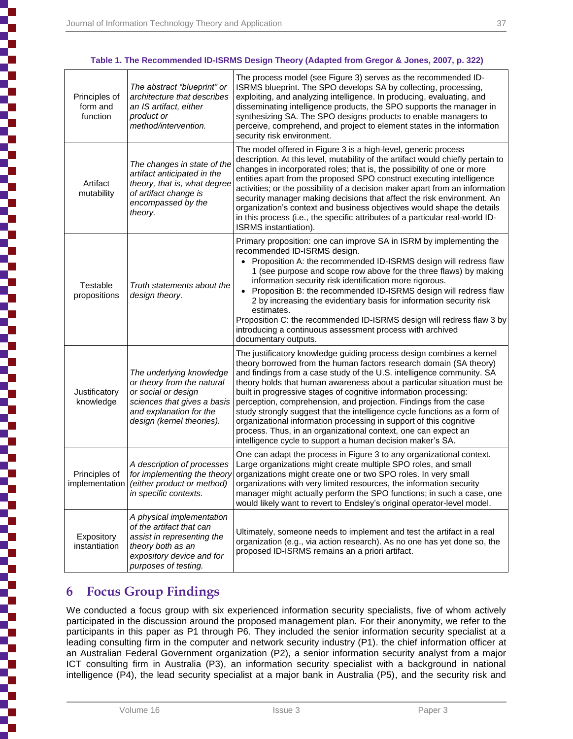#### **Table 1. The Recommended ID-ISRMS Design Theory (Adapted from Gregor & Jones, 2007, p. 322)**

| Principles of<br>form and<br>function | The abstract "blueprint" or<br>architecture that describes<br>an IS artifact, either<br>product or<br>method/intervention.                                           | The process model (see Figure 3) serves as the recommended ID-<br>ISRMS blueprint. The SPO develops SA by collecting, processing,<br>exploiting, and analyzing intelligence. In producing, evaluating, and<br>disseminating intelligence products, the SPO supports the manager in<br>synthesizing SA. The SPO designs products to enable managers to<br>perceive, comprehend, and project to element states in the information<br>security risk environment.                                                                                                                                                                                                                                                             |  |
|---------------------------------------|----------------------------------------------------------------------------------------------------------------------------------------------------------------------|---------------------------------------------------------------------------------------------------------------------------------------------------------------------------------------------------------------------------------------------------------------------------------------------------------------------------------------------------------------------------------------------------------------------------------------------------------------------------------------------------------------------------------------------------------------------------------------------------------------------------------------------------------------------------------------------------------------------------|--|
| Artifact<br>mutability                | The changes in state of the<br>artifact anticipated in the<br>theory, that is, what degree<br>of artifact change is<br>encompassed by the<br>theory.                 | The model offered in Figure 3 is a high-level, generic process<br>description. At this level, mutability of the artifact would chiefly pertain to<br>changes in incorporated roles; that is, the possibility of one or more<br>entities apart from the proposed SPO construct executing intelligence<br>activities; or the possibility of a decision maker apart from an information<br>security manager making decisions that affect the risk environment. An<br>organization's context and business objectives would shape the details<br>in this process (i.e., the specific attributes of a particular real-world ID-<br>ISRMS instantiation).                                                                        |  |
| Testable<br>propositions              | Truth statements about the<br>design theory.                                                                                                                         | Primary proposition: one can improve SA in ISRM by implementing the<br>recommended ID-ISRMS design.<br>Proposition A: the recommended ID-ISRMS design will redress flaw<br>1 (see purpose and scope row above for the three flaws) by making<br>information security risk identification more rigorous.<br>Proposition B: the recommended ID-ISRMS design will redress flaw<br>$\bullet$<br>2 by increasing the evidentiary basis for information security risk<br>estimates.<br>Proposition C: the recommended ID-ISRMS design will redress flaw 3 by<br>introducing a continuous assessment process with archived<br>documentary outputs.                                                                               |  |
| Justificatory<br>knowledge            | The underlying knowledge<br>or theory from the natural<br>or social or design<br>sciences that gives a basis<br>and explanation for the<br>design (kernel theories). | The justificatory knowledge guiding process design combines a kernel<br>theory borrowed from the human factors research domain (SA theory)<br>and findings from a case study of the U.S. intelligence community. SA<br>theory holds that human awareness about a particular situation must be<br>built in progressive stages of cognitive information processing:<br>perception, comprehension, and projection. Findings from the case<br>study strongly suggest that the intelligence cycle functions as a form of<br>organizational information processing in support of this cognitive<br>process. Thus, in an organizational context, one can expect an<br>intelligence cycle to support a human decision maker's SA. |  |
| Principles of                         | A description of processes<br>for implementing the theory<br>implementation (either product or method)<br>in specific contexts.                                      | One can adapt the process in Figure 3 to any organizational context.<br>Large organizations might create multiple SPO roles, and small<br>organizations might create one or two SPO roles. In very small<br>organizations with very limited resources, the information security<br>manager might actually perform the SPO functions; in such a case, one<br>would likely want to revert to Endsley's original operator-level model.                                                                                                                                                                                                                                                                                       |  |
| Expository<br>instantiation           | A physical implementation<br>of the artifact that can<br>assist in representing the<br>theory both as an<br>expository device and for<br>purposes of testing.        | Ultimately, someone needs to implement and test the artifact in a real<br>organization (e.g., via action research). As no one has yet done so, the<br>proposed ID-ISRMS remains an a priori artifact.                                                                                                                                                                                                                                                                                                                                                                                                                                                                                                                     |  |

## **6 Focus Group Findings**

We conducted a focus group with six experienced information security specialists, five of whom actively participated in the discussion around the proposed management plan. For their anonymity, we refer to the participants in this paper as P1 through P6. They included the senior information security specialist at a leading consulting firm in the computer and network security industry (P1). the chief information officer at an Australian Federal Government organization (P2), a senior information security analyst from a major ICT consulting firm in Australia (P3), an information security specialist with a background in national intelligence (P4), the lead security specialist at a major bank in Australia (P5), and the security risk and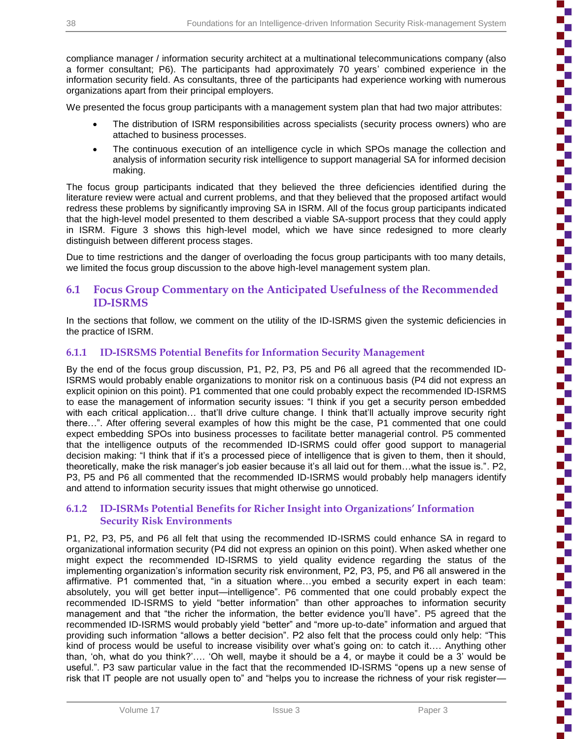compliance manager / information security architect at a multinational telecommunications company (also a former consultant; P6). The participants had approximately 70 years' combined experience in the information security field. As consultants, three of the participants had experience working with numerous organizations apart from their principal employers.

We presented the focus group participants with a management system plan that had two major attributes:

- The distribution of ISRM responsibilities across specialists (security process owners) who are attached to business processes.
- The continuous execution of an intelligence cycle in which SPOs manage the collection and analysis of information security risk intelligence to support managerial SA for informed decision making.

The focus group participants indicated that they believed the three deficiencies identified during the literature review were actual and current problems, and that they believed that the proposed artifact would redress these problems by significantly improving SA in ISRM. All of the focus group participants indicated that the high-level model presented to them described a viable SA-support process that they could apply in ISRM. Figure 3 shows this high-level model, which we have since redesigned to more clearly distinguish between different process stages.

Due to time restrictions and the danger of overloading the focus group participants with too many details, we limited the focus group discussion to the above high-level management system plan.

### **6.1 Focus Group Commentary on the Anticipated Usefulness of the Recommended ID-ISRMS**

In the sections that follow, we comment on the utility of the ID-ISRMS given the systemic deficiencies in the practice of ISRM.

#### **6.1.1 ID-ISRSMS Potential Benefits for Information Security Management**

By the end of the focus group discussion, P1, P2, P3, P5 and P6 all agreed that the recommended ID-ISRMS would probably enable organizations to monitor risk on a continuous basis (P4 did not express an explicit opinion on this point). P1 commented that one could probably expect the recommended ID-ISRMS to ease the management of information security issues: "I think if you get a security person embedded with each critical application... that'll drive culture change. I think that'll actually improve security right there…". After offering several examples of how this might be the case, P1 commented that one could expect embedding SPOs into business processes to facilitate better managerial control. P5 commented that the intelligence outputs of the recommended ID-ISRMS could offer good support to managerial decision making: "I think that if it's a processed piece of intelligence that is given to them, then it should, theoretically, make the risk manager's job easier because it's all laid out for them…what the issue is.". P2, P3, P5 and P6 all commented that the recommended ID-ISRMS would probably help managers identify and attend to information security issues that might otherwise go unnoticed.

#### **6.1.2 ID-ISRMs Potential Benefits for Richer Insight into Organizations' Information Security Risk Environments**

P1, P2, P3, P5, and P6 all felt that using the recommended ID-ISRMS could enhance SA in regard to organizational information security (P4 did not express an opinion on this point). When asked whether one might expect the recommended ID-ISRMS to yield quality evidence regarding the status of the implementing organization's information security risk environment, P2, P3, P5, and P6 all answered in the affirmative. P1 commented that, "in a situation where…you embed a security expert in each team: absolutely, you will get better input—intelligence". P6 commented that one could probably expect the recommended ID-ISRMS to yield "better information" than other approaches to information security management and that "the richer the information, the better evidence you'll have". P5 agreed that the recommended ID-ISRMS would probably yield "better" and "more up-to-date" information and argued that providing such information "allows a better decision". P2 also felt that the process could only help: "This kind of process would be useful to increase visibility over what's going on: to catch it…. Anything other than, 'oh, what do you think?'…. 'Oh well, maybe it should be a 4, or maybe it could be a 3' would be useful.". P3 saw particular value in the fact that the recommended ID-ISRMS "opens up a new sense of risk that IT people are not usually open to" and "helps you to increase the richness of your risk register—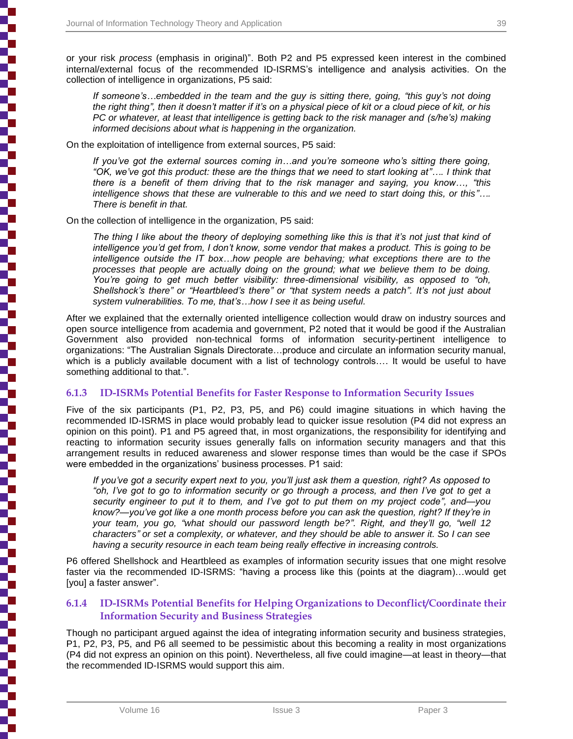or your risk *process* (emphasis in original)". Both P2 and P5 expressed keen interest in the combined internal/external focus of the recommended ID-ISRMS's intelligence and analysis activities. On the collection of intelligence in organizations, P5 said:

*If someone's…embedded in the team and the guy is sitting there, going, "this guy's not doing the right thing", then it doesn't matter if it's on a physical piece of kit or a cloud piece of kit, or his PC or whatever, at least that intelligence is getting back to the risk manager and (s/he's) making informed decisions about what is happening in the organization.*

On the exploitation of intelligence from external sources, P5 said:

*If you've got the external sources coming in…and you're someone who's sitting there going, "OK, we've got this product: these are the things that we need to start looking at"…. I think that there is a benefit of them driving that to the risk manager and saying, you know…, "this intelligence shows that these are vulnerable to this and we need to start doing this, or this"…. There is benefit in that.*

On the collection of intelligence in the organization, P5 said:

*The thing I like about the theory of deploying something like this is that it's not just that kind of intelligence you'd get from, I don't know, some vendor that makes a product. This is going to be intelligence outside the IT box…how people are behaving; what exceptions there are to the processes that people are actually doing on the ground; what we believe them to be doing. You're going to get much better visibility: three-dimensional visibility, as opposed to "oh, Shellshock's there" or "Heartbleed's there" or "that system needs a patch". It's not just about system vulnerabilities. To me, that's…how I see it as being useful.*

After we explained that the externally oriented intelligence collection would draw on industry sources and open source intelligence from academia and government, P2 noted that it would be good if the Australian Government also provided non-technical forms of information security-pertinent intelligence to organizations: "The Australian Signals Directorate…produce and circulate an information security manual, which is a publicly available document with a list of technology controls.... It would be useful to have something additional to that.".

### **6.1.3 ID-ISRMs Potential Benefits for Faster Response to Information Security Issues**

Five of the six participants (P1, P2, P3, P5, and P6) could imagine situations in which having the recommended ID-ISRMS in place would probably lead to quicker issue resolution (P4 did not express an opinion on this point). P1 and P5 agreed that, in most organizations, the responsibility for identifying and reacting to information security issues generally falls on information security managers and that this arrangement results in reduced awareness and slower response times than would be the case if SPOs were embedded in the organizations' business processes. P1 said:

*If you've got a security expert next to you, you'll just ask them a question, right? As opposed to "oh, I've got to go to information security or go through a process, and then I've got to get a security engineer to put it to them, and I've got to put them on my project code", and—you know?—you've got like a one month process before you can ask the question, right? If they're in your team, you go, "what should our password length be?". Right, and they'll go, "well 12 characters" or set a complexity, or whatever, and they should be able to answer it. So I can see having a security resource in each team being really effective in increasing controls.*

P6 offered Shellshock and Heartbleed as examples of information security issues that one might resolve faster via the recommended ID-ISRMS: "having a process like this (points at the diagram)…would get [you] a faster answer".

#### **6.1.4 ID-ISRMs Potential Benefits for Helping Organizations to Deconflict/Coordinate their Information Security and Business Strategies**

Though no participant argued against the idea of integrating information security and business strategies, P1, P2, P3, P5, and P6 all seemed to be pessimistic about this becoming a reality in most organizations (P4 did not express an opinion on this point). Nevertheless, all five could imagine—at least in theory—that the recommended ID-ISRMS would support this aim.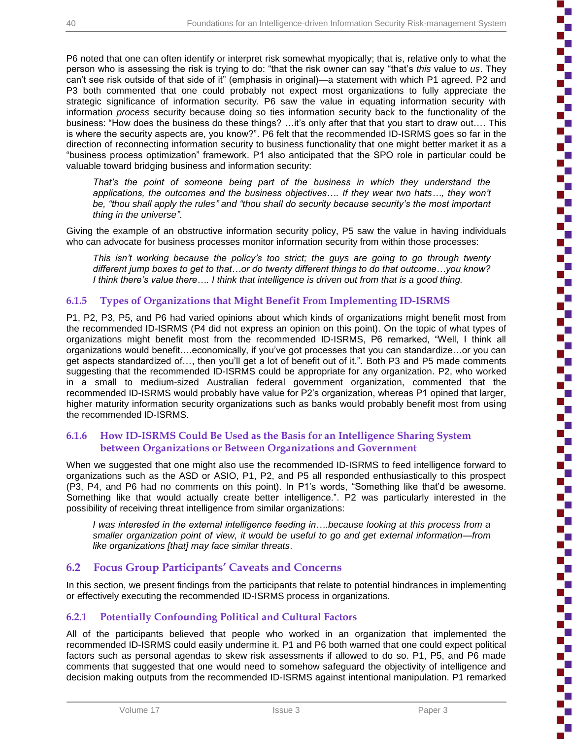P6 noted that one can often identify or interpret risk somewhat myopically; that is, relative only to what the person who is assessing the risk is trying to do: "that the risk owner can say "that's *this* value to *us*. They can't see risk outside of that side of it" (emphasis in original)—a statement with which P1 agreed. P2 and P3 both commented that one could probably not expect most organizations to fully appreciate the strategic significance of information security. P6 saw the value in equating information security with information *process* security because doing so ties information security back to the functionality of the business: "How does the business do these things? …it's only after that that you start to draw out…. This is where the security aspects are, you know?". P6 felt that the recommended ID-ISRMS goes so far in the direction of reconnecting information security to business functionality that one might better market it as a "business process optimization" framework. P1 also anticipated that the SPO role in particular could be valuable toward bridging business and information security:

*That's the point of someone being part of the business in which they understand the applications, the outcomes and the business objectives…. If they wear two hats…, they won't be, "thou shall apply the rules" and "thou shall do security because security's the most important thing in the universe".*

Giving the example of an obstructive information security policy, P5 saw the value in having individuals who can advocate for business processes monitor information security from within those processes:

*This isn't working because the policy's too strict; the guys are going to go through twenty different jump boxes to get to that…or do twenty different things to do that outcome…you know? I think there's value there…. I think that intelligence is driven out from that is a good thing.*

### **6.1.5 Types of Organizations that Might Benefit From Implementing ID-ISRMS**

P1, P2, P3, P5, and P6 had varied opinions about which kinds of organizations might benefit most from the recommended ID-ISRMS (P4 did not express an opinion on this point). On the topic of what types of organizations might benefit most from the recommended ID-ISRMS, P6 remarked, "Well, I think all organizations would benefit….economically, if you've got processes that you can standardize…or you can get aspects standardized of…, then you'll get a lot of benefit out of it.". Both P3 and P5 made comments suggesting that the recommended ID-ISRMS could be appropriate for any organization. P2, who worked in a small to medium-sized Australian federal government organization, commented that the recommended ID-ISRMS would probably have value for P2's organization, whereas P1 opined that larger, higher maturity information security organizations such as banks would probably benefit most from using the recommended ID-ISRMS.

#### **6.1.6 How ID-ISRMS Could Be Used as the Basis for an Intelligence Sharing System between Organizations or Between Organizations and Government**

When we suggested that one might also use the recommended ID-ISRMS to feed intelligence forward to organizations such as the ASD or ASIO, P1, P2, and P5 all responded enthusiastically to this prospect (P3, P4, and P6 had no comments on this point). In P1's words, "Something like that'd be awesome. Something like that would actually create better intelligence.". P2 was particularly interested in the possibility of receiving threat intelligence from similar organizations:

*I was interested in the external intelligence feeding in….because looking at this process from a smaller organization point of view, it would be useful to go and get external information—from like organizations [that] may face similar threats*.

## **6.2 Focus Group Participants' Caveats and Concerns**

In this section, we present findings from the participants that relate to potential hindrances in implementing or effectively executing the recommended ID-ISRMS process in organizations.

### **6.2.1 Potentially Confounding Political and Cultural Factors**

All of the participants believed that people who worked in an organization that implemented the recommended ID-ISRMS could easily undermine it. P1 and P6 both warned that one could expect political factors such as personal agendas to skew risk assessments if allowed to do so. P1, P5, and P6 made comments that suggested that one would need to somehow safeguard the objectivity of intelligence and decision making outputs from the recommended ID-ISRMS against intentional manipulation. P1 remarked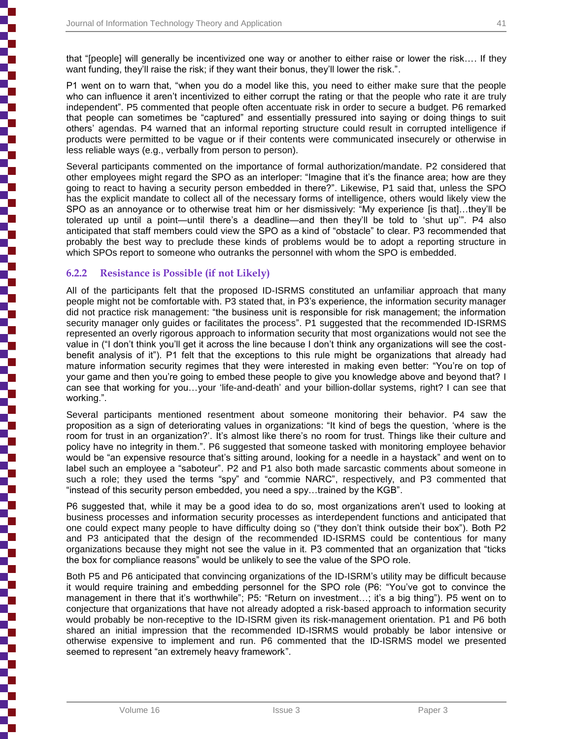P1 went on to warn that, "when you do a model like this, you need to either make sure that the people who can influence it aren't incentivized to either corrupt the rating or that the people who rate it are truly independent". P5 commented that people often accentuate risk in order to secure a budget. P6 remarked that people can sometimes be "captured" and essentially pressured into saying or doing things to suit others' agendas. P4 warned that an informal reporting structure could result in corrupted intelligence if products were permitted to be vague or if their contents were communicated insecurely or otherwise in less reliable ways (e.g., verbally from person to person).

Several participants commented on the importance of formal authorization/mandate. P2 considered that other employees might regard the SPO as an interloper: "Imagine that it's the finance area; how are they going to react to having a security person embedded in there?". Likewise, P1 said that, unless the SPO has the explicit mandate to collect all of the necessary forms of intelligence, others would likely view the SPO as an annoyance or to otherwise treat him or her dismissively: "My experience [is that]…they'll be tolerated up until a point—until there's a deadline—and then they'll be told to 'shut up'". P4 also anticipated that staff members could view the SPO as a kind of "obstacle" to clear. P3 recommended that probably the best way to preclude these kinds of problems would be to adopt a reporting structure in which SPOs report to someone who outranks the personnel with whom the SPO is embedded.

### **6.2.2 Resistance is Possible (if not Likely)**

All of the participants felt that the proposed ID-ISRMS constituted an unfamiliar approach that many people might not be comfortable with. P3 stated that, in P3's experience, the information security manager did not practice risk management: "the business unit is responsible for risk management; the information security manager only guides or facilitates the process". P1 suggested that the recommended ID-ISRMS represented an overly rigorous approach to information security that most organizations would not see the value in ("I don't think you'll get it across the line because I don't think any organizations will see the costbenefit analysis of it"). P1 felt that the exceptions to this rule might be organizations that already had mature information security regimes that they were interested in making even better: "You're on top of your game and then you're going to embed these people to give you knowledge above and beyond that? I can see that working for you…your 'life-and-death' and your billion-dollar systems, right? I can see that working.".

Several participants mentioned resentment about someone monitoring their behavior. P4 saw the proposition as a sign of deteriorating values in organizations: "It kind of begs the question, 'where is the room for trust in an organization?'. It's almost like there's no room for trust. Things like their culture and policy have no integrity in them.". P6 suggested that someone tasked with monitoring employee behavior would be "an expensive resource that's sitting around, looking for a needle in a haystack" and went on to label such an employee a "saboteur". P2 and P1 also both made sarcastic comments about someone in such a role; they used the terms "spy" and "commie NARC", respectively, and P3 commented that "instead of this security person embedded, you need a spy…trained by the KGB".

P6 suggested that, while it may be a good idea to do so, most organizations aren't used to looking at business processes and information security processes as interdependent functions and anticipated that one could expect many people to have difficulty doing so ("they don't think outside their box"). Both P2 and P3 anticipated that the design of the recommended ID-ISRMS could be contentious for many organizations because they might not see the value in it. P3 commented that an organization that "ticks the box for compliance reasons" would be unlikely to see the value of the SPO role.

Both P5 and P6 anticipated that convincing organizations of the ID-ISRM's utility may be difficult because it would require training and embedding personnel for the SPO role (P6: "You've got to convince the management in there that it's worthwhile"; P5: "Return on investment…; it's a big thing"). P5 went on to conjecture that organizations that have not already adopted a risk-based approach to information security would probably be non-receptive to the ID-ISRM given its risk-management orientation. P1 and P6 both shared an initial impression that the recommended ID-ISRMS would probably be labor intensive or otherwise expensive to implement and run. P6 commented that the ID-ISRMS model we presented seemed to represent "an extremely heavy framework".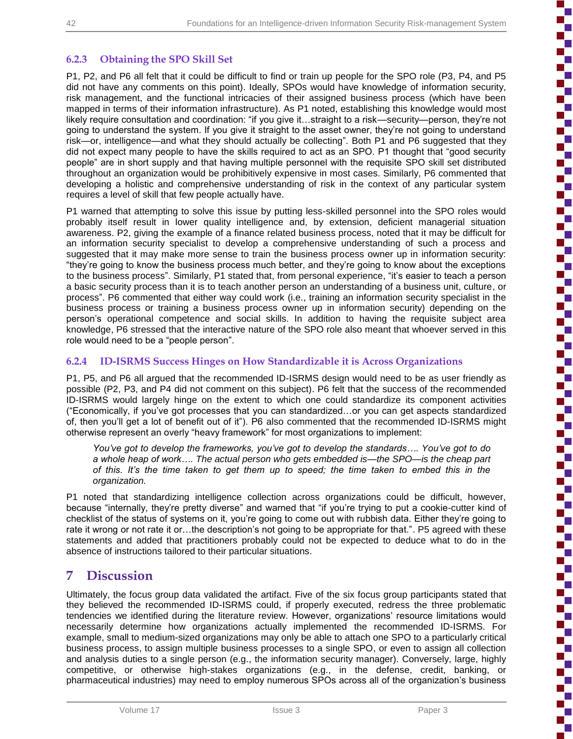'n

## **6.2.3 Obtaining the SPO Skill Set**

P1, P2, and P6 all felt that it could be difficult to find or train up people for the SPO role (P3, P4, and P5 did not have any comments on this point). Ideally, SPOs would have knowledge of information security, risk management, and the functional intricacies of their assigned business process (which have been mapped in terms of their information infrastructure). As P1 noted, establishing this knowledge would most likely require consultation and coordination: "if you give it…straight to a risk—security—person, they're not going to understand the system. If you give it straight to the asset owner, they're not going to understand risk—or, intelligence—and what they should actually be collecting". Both P1 and P6 suggested that they did not expect many people to have the skills required to act as an SPO. P1 thought that "good security people" are in short supply and that having multiple personnel with the requisite SPO skill set distributed throughout an organization would be prohibitively expensive in most cases. Similarly, P6 commented that developing a holistic and comprehensive understanding of risk in the context of any particular system requires a level of skill that few people actually have.

P1 warned that attempting to solve this issue by putting less-skilled personnel into the SPO roles would probably itself result in lower quality intelligence and, by extension, deficient managerial situation awareness. P2, giving the example of a finance related business process, noted that it may be difficult for an information security specialist to develop a comprehensive understanding of such a process and suggested that it may make more sense to train the business process owner up in information security: "they're going to know the business process much better, and they're going to know about the exceptions to the business process". Similarly, P1 stated that, from personal experience, "it's easier to teach a person a basic security process than it is to teach another person an understanding of a business unit, culture, or process". P6 commented that either way could work (i.e., training an information security specialist in the business process or training a business process owner up in information security) depending on the person's operational competence and social skills. In addition to having the requisite subject area knowledge, P6 stressed that the interactive nature of the SPO role also meant that whoever served in this role would need to be a "people person".

### **6.2.4 ID-ISRMS Success Hinges on How Standardizable it is Across Organizations**

P1, P5, and P6 all argued that the recommended ID-ISRMS design would need to be as user friendly as possible (P2, P3, and P4 did not comment on this subject). P6 felt that the success of the recommended ID-ISRMS would largely hinge on the extent to which one could standardize its component activities ("Economically, if you've got processes that you can standardized…or you can get aspects standardized of, then you'll get a lot of benefit out of it"). P6 also commented that the recommended ID-ISRMS might otherwise represent an overly "heavy framework" for most organizations to implement:

*You've got to develop the frameworks, you've got to develop the standards…. You've got to do a whole heap of work…. The actual person who gets embedded is—the SPO—is the cheap part of this. It's the time taken to get them up to speed; the time taken to embed this in the organization.*

P1 noted that standardizing intelligence collection across organizations could be difficult, however, because "internally, they're pretty diverse" and warned that "if you're trying to put a cookie-cutter kind of checklist of the status of systems on it, you're going to come out with rubbish data. Either they're going to rate it wrong or not rate it or…the description's not going to be appropriate for that.". P5 agreed with these statements and added that practitioners probably could not be expected to deduce what to do in the absence of instructions tailored to their particular situations.

## **7 Discussion**

Ultimately, the focus group data validated the artifact. Five of the six focus group participants stated that they believed the recommended ID-ISRMS could, if properly executed, redress the three problematic tendencies we identified during the literature review. However, organizations' resource limitations would necessarily determine how organizations actually implemented the recommended ID-ISRMS. For example, small to medium-sized organizations may only be able to attach one SPO to a particularly critical business process, to assign multiple business processes to a single SPO, or even to assign all collection and analysis duties to a single person (e.g., the information security manager). Conversely, large, highly competitive, or otherwise high-stakes organizations (e.g., in the defense, credit, banking, or pharmaceutical industries) may need to employ numerous SPOs across all of the organization's business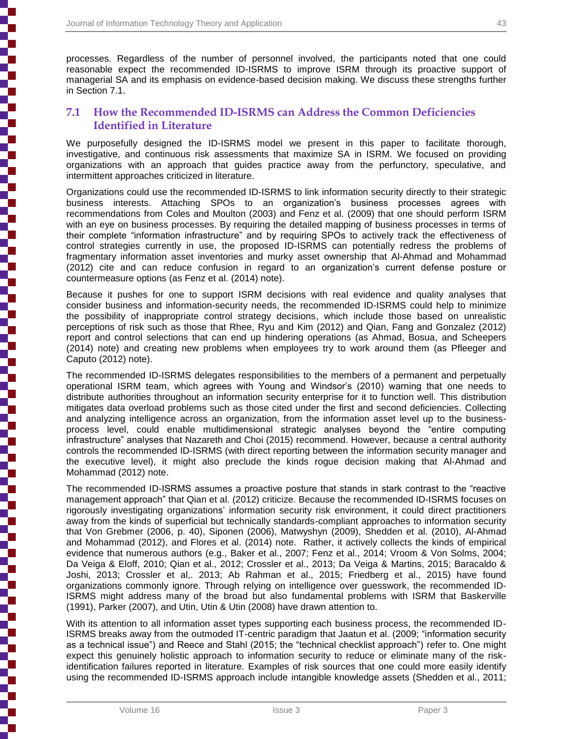processes. Regardless of the number of personnel involved, the participants noted that one could reasonable expect the recommended ID-ISRMS to improve ISRM through its proactive support of managerial SA and its emphasis on evidence-based decision making. We discuss these strengths further in Section 7.1.

## **7.1 How the Recommended ID-ISRMS can Address the Common Deficiencies Identified in Literature**

We purposefully designed the ID-ISRMS model we present in this paper to facilitate thorough, investigative, and continuous risk assessments that maximize SA in ISRM. We focused on providing organizations with an approach that guides practice away from the perfunctory, speculative, and intermittent approaches criticized in literature.

Organizations could use the recommended ID-ISRMS to link information security directly to their strategic business interests. Attaching SPOs to an organization's business processes agrees with recommendations from Coles and Moulton (2003) and Fenz et al. (2009) that one should perform ISRM with an eye on business processes. By requiring the detailed mapping of business processes in terms of their complete "information infrastructure" and by requiring SPOs to actively track the effectiveness of control strategies currently in use, the proposed ID-ISRMS can potentially redress the problems of fragmentary information asset inventories and murky asset ownership that Al-Ahmad and Mohammad (2012) cite and can reduce confusion in regard to an organization's current defense posture or countermeasure options (as Fenz et al. (2014) note).

Because it pushes for one to support ISRM decisions with real evidence and quality analyses that consider business and information-security needs, the recommended ID-ISRMS could help to minimize the possibility of inappropriate control strategy decisions, which include those based on unrealistic perceptions of risk such as those that Rhee, Ryu and Kim (2012) and Qian, Fang and Gonzalez (2012) report and control selections that can end up hindering operations (as Ahmad, Bosua, and Scheepers (2014) note) and creating new problems when employees try to work around them (as Pfleeger and Caputo (2012) note).

The recommended ID-ISRMS delegates responsibilities to the members of a permanent and perpetually operational ISRM team, which agrees with Young and Windsor's (2010) warning that one needs to distribute authorities throughout an information security enterprise for it to function well. This distribution mitigates data overload problems such as those cited under the first and second deficiencies. Collecting and analyzing intelligence across an organization, from the information asset level up to the businessprocess level, could enable multidimensional strategic analyses beyond the "entire computing infrastructure" analyses that Nazareth and Choi (2015) recommend. However, because a central authority controls the recommended ID-ISRMS (with direct reporting between the information security manager and the executive level), it might also preclude the kinds rogue decision making that Al-Ahmad and Mohammad (2012) note.

The recommended ID-ISRMS assumes a proactive posture that stands in stark contrast to the "reactive management approach" that Qian et al. (2012) criticize. Because the recommended ID-ISRMS focuses on rigorously investigating organizations' information security risk environment, it could direct practitioners away from the kinds of superficial but technically standards-compliant approaches to information security that Von Grebmer (2006, p. 40), Siponen (2006), Matwyshyn (2009), Shedden et al. (2010), Al-Ahmad and Mohammad (2012), and Flores et al. (2014) note. Rather, it actively collects the kinds of empirical evidence that numerous authors (e.g., Baker et al., 2007; Fenz et al., 2014; Vroom & Von Solms, 2004; Da Veiga & Eloff, 2010; Qian et al., 2012; Crossler et al., 2013; Da Veiga & Martins, 2015; Baracaldo & Joshi, 2013; Crossler et al,. 2013; Ab Rahman et al., 2015; Friedberg et al., 2015) have found organizations commonly ignore. Through relying on intelligence over guesswork, the recommended ID-ISRMS might address many of the broad but also fundamental problems with ISRM that Baskerville (1991), Parker (2007), and Utin, Utin & Utin (2008) have drawn attention to.

With its attention to all information asset types supporting each business process, the recommended ID-ISRMS breaks away from the outmoded IT-centric paradigm that Jaatun et al. (2009; "information security as a technical issue") and Reece and Stahl (2015; the "technical checklist approach") refer to. One might expect this genuinely holistic approach to information security to reduce or eliminate many of the riskidentification failures reported in literature. Examples of risk sources that one could more easily identify using the recommended ID-ISRMS approach include intangible knowledge assets (Shedden et al., 2011;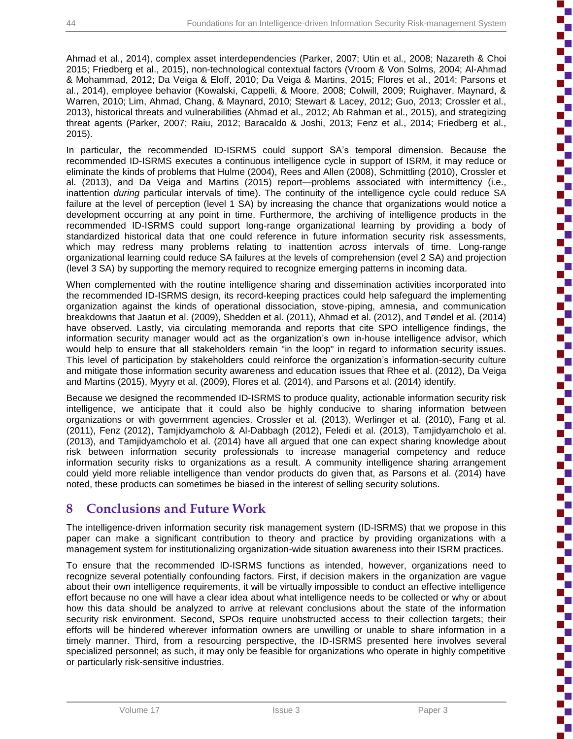Ŧ

Ahmad et al., 2014), complex asset interdependencies (Parker, 2007; Utin et al., 2008; Nazareth & Choi 2015; Friedberg et al., 2015), non-technological contextual factors (Vroom & Von Solms, 2004; Al-Ahmad & Mohammad, 2012; Da Veiga & Eloff, 2010; Da Veiga & Martins, 2015; Flores et al., 2014; Parsons et al., 2014), employee behavior (Kowalski, Cappelli, & Moore, 2008; Colwill, 2009; Ruighaver, Maynard, & Warren, 2010; Lim, Ahmad, Chang, & Maynard, 2010; Stewart & Lacey, 2012; Guo, 2013; Crossler et al., 2013), historical threats and vulnerabilities (Ahmad et al., 2012; Ab Rahman et al., 2015), and strategizing threat agents (Parker, 2007; Raiu, 2012; Baracaldo & Joshi, 2013; Fenz et al., 2014; Friedberg et al., 2015).

In particular, the recommended ID-ISRMS could support SA's temporal dimension. Because the recommended ID-ISRMS executes a continuous intelligence cycle in support of ISRM, it may reduce or eliminate the kinds of problems that Hulme (2004), Rees and Allen (2008), Schmittling (2010), Crossler et al. (2013), and Da Veiga and Martins (2015) report—problems associated with intermittency (i.e., inattention *during* particular intervals of time). The continuity of the intelligence cycle could reduce SA failure at the level of perception (level 1 SA) by increasing the chance that organizations would notice a development occurring at any point in time. Furthermore, the archiving of intelligence products in the recommended ID-ISRMS could support long-range organizational learning by providing a body of standardized historical data that one could reference in future information security risk assessments, which may redress many problems relating to inattention *across* intervals of time. Long-range organizational learning could reduce SA failures at the levels of comprehension (evel 2 SA) and projection (level 3 SA) by supporting the memory required to recognize emerging patterns in incoming data.

When complemented with the routine intelligence sharing and dissemination activities incorporated into the recommended ID-ISRMS design, its record-keeping practices could help safeguard the implementing organization against the kinds of operational dissociation, stove-piping, amnesia, and communication breakdowns that Jaatun et al. (2009), Shedden et al. (2011), Ahmad et al. (2012), and Tøndel et al. (2014) have observed. Lastly, via circulating memoranda and reports that cite SPO intelligence findings, the information security manager would act as the organization's own in-house intelligence advisor, which would help to ensure that all stakeholders remain "in the loop" in regard to information security issues. This level of participation by stakeholders could reinforce the organization's information-security culture and mitigate those information security awareness and education issues that Rhee et al. (2012), Da Veiga and Martins (2015), Myyry et al. (2009), Flores et al. (2014), and Parsons et al. (2014) identify.

Because we designed the recommended ID-ISRMS to produce quality, actionable information security risk intelligence, we anticipate that it could also be highly conducive to sharing information between organizations or with government agencies. Crossler et al. (2013), Werlinger et al. (2010), Fang et al. (2011), Fenz (2012), Tamjidyamcholo & Al-Dabbagh (2012), Feledi et al. (2013), Tamjidyamcholo et al. (2013), and Tamjidyamcholo et al. (2014) have all argued that one can expect sharing knowledge about risk between information security professionals to increase managerial competency and reduce information security risks to organizations as a result. A community intelligence sharing arrangement could yield more reliable intelligence than vendor products do given that, as Parsons et al. (2014) have noted, these products can sometimes be biased in the interest of selling security solutions.

## **8 Conclusions and Future Work**

The intelligence-driven information security risk management system (ID-ISRMS) that we propose in this paper can make a significant contribution to theory and practice by providing organizations with a management system for institutionalizing organization-wide situation awareness into their ISRM practices.

To ensure that the recommended ID-ISRMS functions as intended, however, organizations need to recognize several potentially confounding factors. First, if decision makers in the organization are vague about their own intelligence requirements, it will be virtually impossible to conduct an effective intelligence effort because no one will have a clear idea about what intelligence needs to be collected or why or about how this data should be analyzed to arrive at relevant conclusions about the state of the information security risk environment. Second, SPOs require unobstructed access to their collection targets; their efforts will be hindered wherever information owners are unwilling or unable to share information in a timely manner. Third, from a resourcing perspective, the ID-ISRMS presented here involves several specialized personnel; as such, it may only be feasible for organizations who operate in highly competitive or particularly risk-sensitive industries.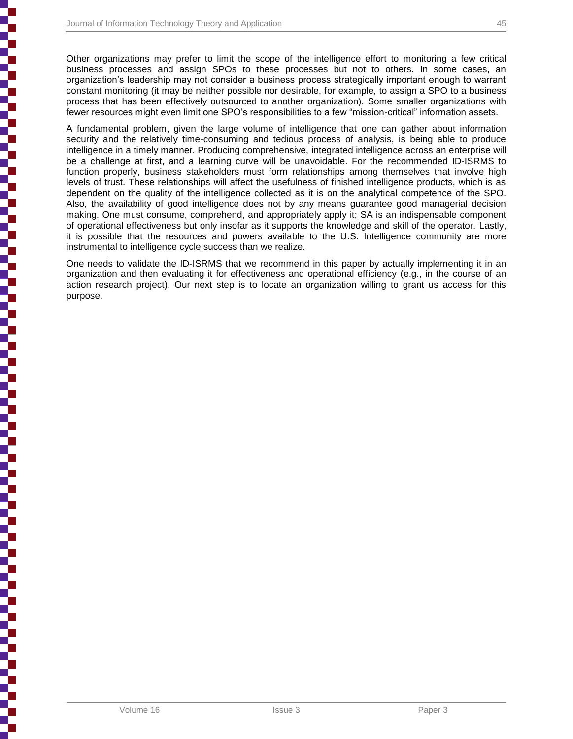Other organizations may prefer to limit the scope of the intelligence effort to monitoring a few critical business processes and assign SPOs to these processes but not to others. In some cases, an organization's leadership may not consider a business process strategically important enough to warrant constant monitoring (it may be neither possible nor desirable, for example, to assign a SPO to a business process that has been effectively outsourced to another organization). Some smaller organizations with fewer resources might even limit one SPO's responsibilities to a few "mission-critical" information assets.

A fundamental problem, given the large volume of intelligence that one can gather about information security and the relatively time-consuming and tedious process of analysis, is being able to produce intelligence in a timely manner. Producing comprehensive, integrated intelligence across an enterprise will be a challenge at first, and a learning curve will be unavoidable. For the recommended ID-ISRMS to function properly, business stakeholders must form relationships among themselves that involve high levels of trust. These relationships will affect the usefulness of finished intelligence products, which is as dependent on the quality of the intelligence collected as it is on the analytical competence of the SPO. Also, the availability of good intelligence does not by any means guarantee good managerial decision making. One must consume, comprehend, and appropriately apply it; SA is an indispensable component of operational effectiveness but only insofar as it supports the knowledge and skill of the operator. Lastly, it is possible that the resources and powers available to the U.S. Intelligence community are more instrumental to intelligence cycle success than we realize.

One needs to validate the ID-ISRMS that we recommend in this paper by actually implementing it in an organization and then evaluating it for effectiveness and operational efficiency (e.g., in the course of an action research project). Our next step is to locate an organization willing to grant us access for this purpose.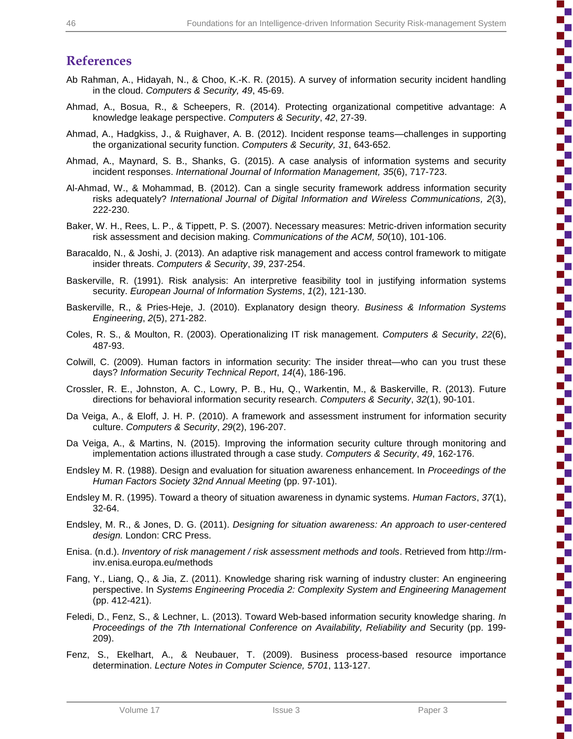## **References**

- Ab Rahman, A., Hidayah, N., & Choo, K.-K. R. (2015). A survey of information security incident handling in the cloud. *Computers & Security, 49*, 45-69.
- Ahmad, A., Bosua, R., & Scheepers, R. (2014). Protecting organizational competitive advantage: A knowledge leakage perspective. *Computers & Security*, *42*, 27-39.
- Ahmad, A., Hadgkiss, J., & Ruighaver, A. B. (2012). Incident response teams—challenges in supporting the organizational security function. *Computers & Security, 31*, 643-652.
- Ahmad, A., Maynard, S. B., Shanks, G. (2015). A case analysis of information systems and security incident responses. *International Journal of Information Management, 35*(6), 717-723.
- Al-Ahmad, W., & Mohammad, B. (2012). Can a single security framework address information security risks adequately? *International Journal of Digital Information and Wireless Communications, 2*(3), 222-230.
- Baker, W. H., Rees, L. P., & Tippett, P. S. (2007). Necessary measures: Metric-driven information security risk assessment and decision making. *Communications of the ACM, 50*(10), 101-106.
- Baracaldo, N., & Joshi, J. (2013). An adaptive risk management and access control framework to mitigate insider threats. *Computers & Security*, *39*, 237-254.
- Baskerville, R. (1991). Risk analysis: An interpretive feasibility tool in justifying information systems security. *European Journal of Information Systems*, *1*(2), 121-130.
- Baskerville, R., & Pries-Heje, J. (2010). Explanatory design theory. *Business & Information Systems Engineering*, *2*(5), 271-282.
- Coles, R. S., & Moulton, R. (2003). Operationalizing IT risk management. *Computers & Security*, *22*(6), 487-93.
- Colwill, C. (2009). Human factors in information security: The insider threat—who can you trust these days? *Information Security Technical Report*, *14*(4), 186-196.
- Crossler, R. E., Johnston, A. C., Lowry, P. B., Hu, Q., Warkentin, M., & Baskerville, R. (2013). Future directions for behavioral information security research. *Computers & Security*, *32*(1), 90-101.
- Da Veiga, A., & Eloff, J. H. P. (2010). A framework and assessment instrument for information security culture. *Computers & Security*, *29*(2), 196-207.
- Da Veiga, A., & Martins, N. (2015). Improving the information security culture through monitoring and implementation actions illustrated through a case study. *Computers & Security*, *49*, 162-176.
- Endsley M. R. (1988). Design and evaluation for situation awareness enhancement. In *Proceedings of the Human Factors Society 32nd Annual Meeting* (pp. 97-101).
- Endsley M. R. (1995). Toward a theory of situation awareness in dynamic systems. *Human Factors*, *37*(1), 32-64.
- Endsley, M. R., & Jones, D. G. (2011). *Designing for situation awareness: An approach to user-centered design.* London: CRC Press.
- Enisa. (n.d.). *Inventory of risk management / risk assessment methods and tools*. Retrieved from http://rminv.enisa.europa.eu/methods
- Fang, Y., Liang, Q., & Jia, Z. (2011). Knowledge sharing risk warning of industry cluster: An engineering perspective. In *Systems Engineering Procedia 2: Complexity System and Engineering Management* (pp. 412-421).
- Feledi, D., Fenz, S., & Lechner, L. (2013). Toward Web-based information security knowledge sharing. *I*n *Proceedings of the 7th International Conference on Availability, Reliability and* Security (pp. 199- 209).
- Fenz, S., Ekelhart, A., & Neubauer, T. (2009). Business process-based resource importance determination. *Lecture Notes in Computer Science, 5701*, 113-127.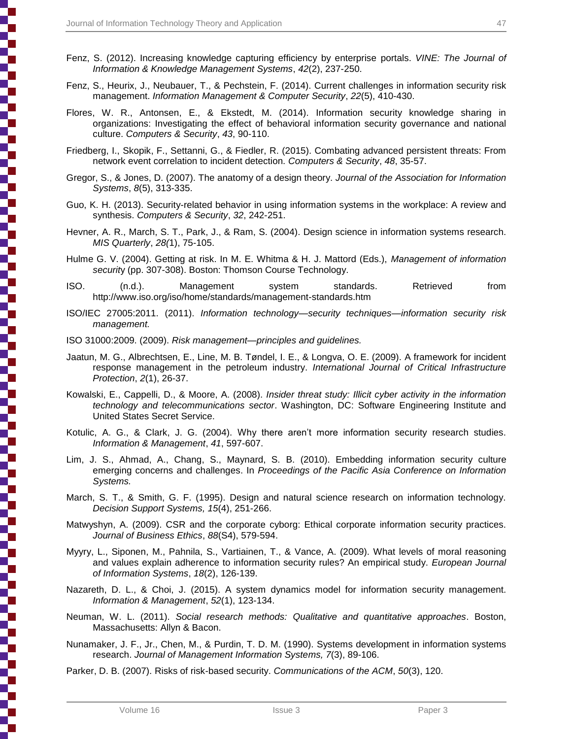- Fenz, S. (2012). Increasing knowledge capturing efficiency by enterprise portals. *VINE: The Journal of Information & Knowledge Management Systems*, *42*(2), 237-250.
- Fenz, S., Heurix, J., Neubauer, T., & Pechstein, F. (2014). Current challenges in information security risk management. *Information Management & Computer Security*, *22*(5), 410-430.
- Flores, W. R., Antonsen, E., & Ekstedt, M. (2014). Information security knowledge sharing in organizations: Investigating the effect of behavioral information security governance and national culture. *Computers & Security*, *43*, 90-110.
- Friedberg, I., Skopik, F., Settanni, G., & Fiedler, R. (2015). Combating advanced persistent threats: From network event correlation to incident detection. *Computers & Security*, *48*, 35-57.
- Gregor, S., & Jones, D. (2007). The anatomy of a design theory. *Journal of the Association for Information Systems*, *8*(5), 313-335.
- Guo, K. H. (2013). Security-related behavior in using information systems in the workplace: A review and synthesis. *Computers & Security*, *32*, 242-251.
- Hevner, A. R., March, S. T., Park, J., & Ram, S. (2004). Design science in information systems research. *MIS Quarterly*, *28(*1), 75-105.
- Hulme G. V. (2004). Getting at risk. In M. E. Whitma & H. J. Mattord (Eds.), *Management of information securit*y (pp. 307-308). Boston: Thomson Course Technology.
- ISO. (n.d.). Management system standards. Retrieved from http://www.iso.org/iso/home/standards/management-standards.htm
- ISO/IEC 27005:2011. (2011). *Information technology—security techniques—information security risk management.*
- ISO 31000:2009. (2009). *Risk management—principles and guidelines.*
- Jaatun, M. G., Albrechtsen, E., Line, M. B. Tøndel, I. E., & Longva, O. E. (2009). A framework for incident response management in the petroleum industry. *International Journal of Critical Infrastructure Protection*, *2*(1), 26-37.
- Kowalski, E., Cappelli, D., & Moore, A. (2008). *Insider threat study: Illicit cyber activity in the information technology and telecommunications sector*. Washington, DC: Software Engineering Institute and United States Secret Service.
- Kotulic, A. G., & Clark, J. G. (2004). Why there aren't more information security research studies. *Information & Management*, *41*, 597-607.
- Lim, J. S., Ahmad, A., Chang, S., Maynard, S. B. (2010). Embedding information security culture emerging concerns and challenges. In *Proceedings of the Pacific Asia Conference on Information Systems.*
- March, S. T., & Smith, G. F. (1995). Design and natural science research on information technology. *Decision Support Systems, 15*(4), 251-266.
- Matwyshyn, A. (2009). CSR and the corporate cyborg: Ethical corporate information security practices. *Journal of Business Ethics*, *88*(S4), 579-594.
- Myyry, L., Siponen, M., Pahnila, S., Vartiainen, T., & Vance, A. (2009). What levels of moral reasoning and values explain adherence to information security rules? An empirical study. *European Journal of Information Systems*, *18*(2), 126-139.
- Nazareth, D. L., & Choi, J. (2015). A system dynamics model for information security management. *Information & Management*, *52*(1), 123-134.
- Neuman, W. L. (2011). *Social research methods: Qualitative and quantitative approaches*. Boston, Massachusetts: Allyn & Bacon.
- Nunamaker, J. F., Jr., Chen, M., & Purdin, T. D. M. (1990). Systems development in information systems research. *Journal of Management Information Systems, 7*(3), 89-106.
- Parker, D. B. (2007). Risks of risk-based security. *Communications of the ACM*, *50*(3), 120.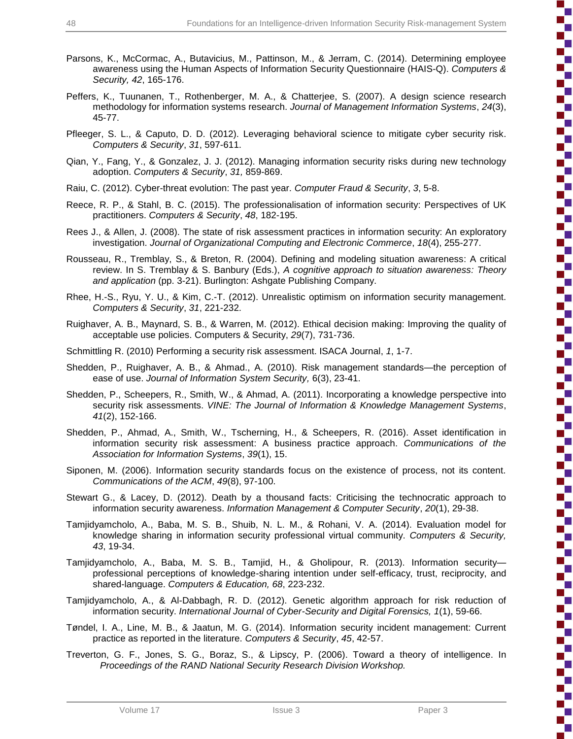- Parsons, K., McCormac, A., Butavicius, M., Pattinson, M., & Jerram, C. (2014). Determining employee awareness using the Human Aspects of Information Security Questionnaire (HAIS-Q). *Computers & Security, 42*, 165-176.
- Peffers, K., Tuunanen, T., Rothenberger, M. A., & Chatterjee, S. (2007). A design science research methodology for information systems research. *Journal of Management Information Systems*, *24*(3), 45-77.
- Pfleeger, S. L., & Caputo, D. D. (2012). Leveraging behavioral science to mitigate cyber security risk. *Computers & Security*, *31*, 597-611.
- Qian, Y., Fang, Y., & Gonzalez, J. J. (2012). Managing information security risks during new technology adoption. *Computers & Security*, *31,* 859-869.
- Raiu, C. (2012). Cyber-threat evolution: The past year. *Computer Fraud & Security*, *3*, 5-8.
- Reece, R. P., & Stahl, B. C. (2015). The professionalisation of information security: Perspectives of UK practitioners. *Computers & Security*, *48*, 182-195.
- Rees J., & Allen, J. (2008). The state of risk assessment practices in information security: An exploratory investigation. *Journal of Organizational Computing and Electronic Commerce*, *18*(4), 255-277.
- Rousseau, R., Tremblay, S., & Breton, R. (2004). Defining and modeling situation awareness: A critical review. In S. Tremblay & S. Banbury (Eds.), *A cognitive approach to situation awareness: Theory and application* (pp. 3-21). Burlington: Ashgate Publishing Company.
- Rhee, H.-S., Ryu, Y. U., & Kim, C.-T. (2012). Unrealistic optimism on information security management. *Computers & Security*, *31*, 221-232.
- Ruighaver, A. B., Maynard, S. B., & Warren, M. (2012). Ethical decision making: Improving the quality of acceptable use policies. Computers & Security, *29*(7), 731-736.
- Schmittling R. (2010) Performing a security risk assessment. ISACA Journal, *1*, 1-7.
- Shedden, P., Ruighaver, A. B., & Ahmad., A. (2010). Risk management standards—the perception of ease of use. *Journal of Information System Security,* 6(3), 23-41.
- Shedden, P., Scheepers, R., Smith, W., & Ahmad, A. (2011). Incorporating a knowledge perspective into security risk assessments. *VINE: The Journal of Information & Knowledge Management Systems*, *41*(2), 152-166.
- Shedden, P., Ahmad, A., Smith, W., Tscherning, H., & Scheepers, R. (2016). Asset identification in information security risk assessment: A business practice approach. *Communications of the Association for Information Systems*, *39*(1), 15.
- Siponen, M. (2006). Information security standards focus on the existence of process, not its content. *Communications of the ACM*, *49*(8), 97-100.
- Stewart G., & Lacey, D. (2012). Death by a thousand facts: Criticising the technocratic approach to information security awareness. *Information Management & Computer Security*, *20*(1), 29-38.
- Tamjidyamcholo, A., Baba, M. S. B., Shuib, N. L. M., & Rohani, V. A. (2014). Evaluation model for knowledge sharing in information security professional virtual community. *Computers & Security, 43*, 19-34.
- Tamjidyamcholo, A., Baba, M. S. B., Tamjid, H., & Gholipour, R. (2013). Information security professional perceptions of knowledge-sharing intention under self-efficacy, trust, reciprocity, and shared-language. *Computers & Education, 68*, 223-232.
- Tamjidyamcholo, A., & Al-Dabbagh, R. D. (2012). Genetic algorithm approach for risk reduction of information security. *International Journal of Cyber-Security and Digital Forensics, 1*(1), 59-66.
- Tøndel, I. A., Line, M. B., & Jaatun, M. G. (2014). Information security incident management: Current practice as reported in the literature. *Computers & Security*, *45*, 42-57.
- Treverton, G. F., Jones, S. G., Boraz, S., & Lipscy, P. (2006). Toward a theory of intelligence. In *Proceedings of the RAND National Security Research Division Workshop.*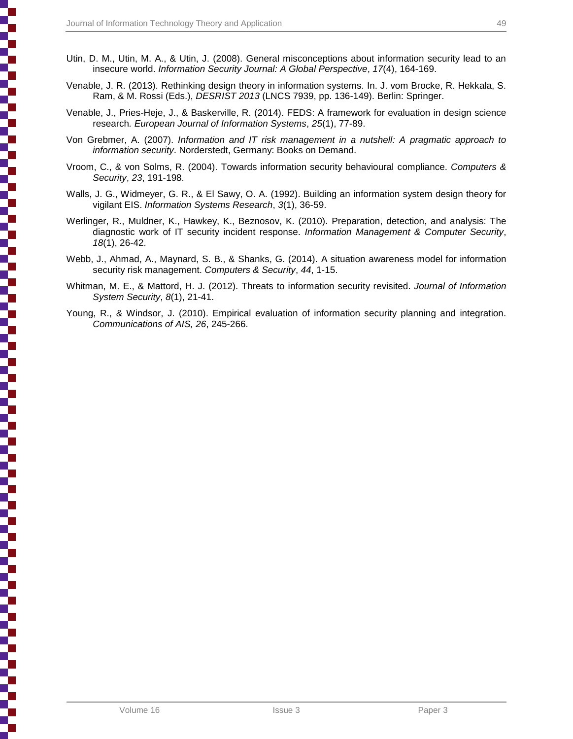- Utin, D. M., Utin, M. A., & Utin, J. (2008). General misconceptions about information security lead to an insecure world. *Information Security Journal: A Global Perspective*, *17*(4), 164-169.
- Venable, J. R. (2013). Rethinking design theory in information systems. In. J. vom Brocke, R. Hekkala, S. Ram, & M. Rossi (Eds.), *DESRIST 2013* (LNCS 7939, pp. 136-149). Berlin: Springer.
- Venable, J., Pries-Heje, J., & Baskerville, R. (2014). FEDS: A framework for evaluation in design science research*. European Journal of Information Systems*, *25*(1), 77-89.
- Von Grebmer, A. (2007). *Information and IT risk management in a nutshell: A pragmatic approach to information security*. Norderstedt, Germany: Books on Demand.
- Vroom, C., & von Solms, R. (2004). Towards information security behavioural compliance. *Computers & Security*, *23*, 191-198.
- Walls, J. G., Widmeyer, G. R., & El Sawy, O. A. (1992). Building an information system design theory for vigilant EIS. *Information Systems Research*, *3*(1), 36-59.
- Werlinger, R., Muldner, K., Hawkey, K., Beznosov, K. (2010). Preparation, detection, and analysis: The diagnostic work of IT security incident response. *Information Management & Computer Security*, *18*(1), 26-42.
- Webb, J., Ahmad, A., Maynard, S. B., & Shanks, G. (2014). A situation awareness model for information security risk management. *Computers & Security*, *44*, 1-15.
- Whitman, M. E., & Mattord, H. J. (2012). Threats to information security revisited. *Journal of Information System Security*, *8*(1), 21-41.
- Young, R., & Windsor, J. (2010). Empirical evaluation of information security planning and integration. *Communications of AIS, 26*, 245-266.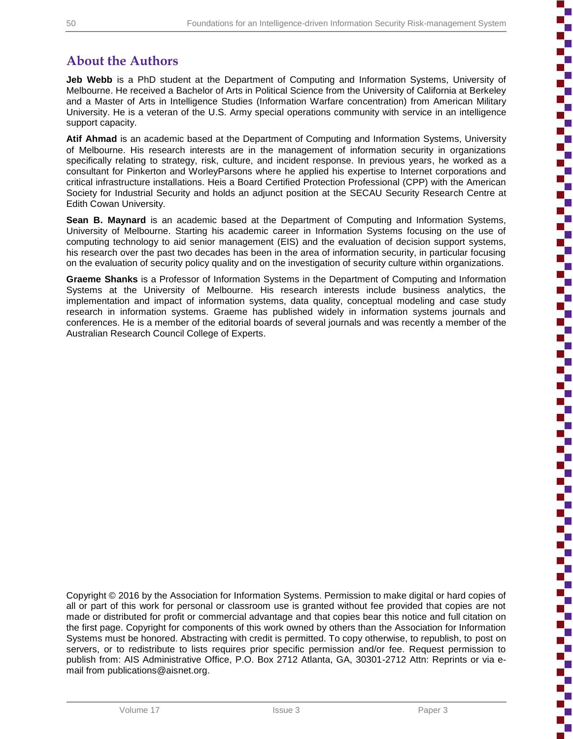b

ì

i

ì

'n

## **About the Authors**

**Jeb Webb** is a PhD student at the Department of Computing and Information Systems, University of Melbourne. He received a Bachelor of Arts in Political Science from the University of California at Berkeley and a Master of Arts in Intelligence Studies (Information Warfare concentration) from American Military University. He is a veteran of the U.S. Army special operations community with service in an intelligence support capacity.

**Atif Ahmad** is an academic based at the Department of Computing and Information Systems, University of Melbourne. His research interests are in the management of information security in organizations specifically relating to strategy, risk, culture, and incident response. In previous years, he worked as a consultant for Pinkerton and WorleyParsons where he applied his expertise to Internet corporations and critical infrastructure installations. Heis a Board Certified Protection Professional (CPP) with the American Society for Industrial Security and holds an adjunct position at the SECAU Security Research Centre at Edith Cowan University.

**Sean B. Maynard** is an academic based at the Department of Computing and Information Systems, University of Melbourne. Starting his academic career in Information Systems focusing on the use of computing technology to aid senior management (EIS) and the evaluation of decision support systems, his research over the past two decades has been in the area of information security, in particular focusing on the evaluation of security policy quality and on the investigation of security culture within organizations.

**Graeme Shanks** is a Professor of Information Systems in the Department of Computing and Information Systems at the University of Melbourne. His research interests include business analytics, the implementation and impact of information systems, data quality, conceptual modeling and case study research in information systems. Graeme has published widely in information systems journals and conferences. He is a member of the editorial boards of several journals and was recently a member of the Australian Research Council College of Experts.

Copyright © 2016 by the Association for Information Systems. Permission to make digital or hard copies of all or part of this work for personal or classroom use is granted without fee provided that copies are not made or distributed for profit or commercial advantage and that copies bear this notice and full citation on the first page. Copyright for components of this work owned by others than the Association for Information Systems must be honored. Abstracting with credit is permitted. To copy otherwise, to republish, to post on servers, or to redistribute to lists requires prior specific permission and/or fee. Request permission to publish from: AIS Administrative Office, P.O. Box 2712 Atlanta, GA, 30301-2712 Attn: Reprints or via email from publications@aisnet.org.